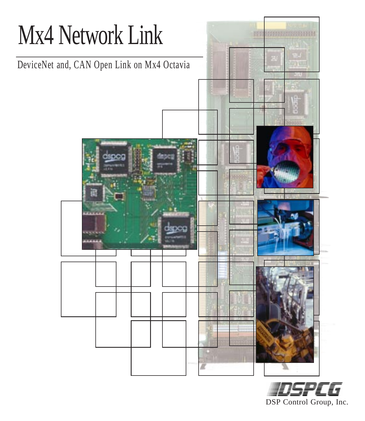

DSP Control Group, Inc.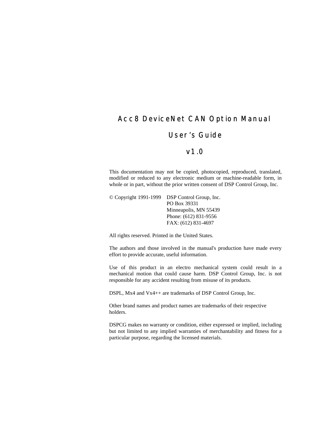### Acc8 DeviceNet CAN Option Manual

#### User's Guide

#### v1.0

This documentation may not be copied, photocopied, reproduced, translated, modified or reduced to any electronic medium or machine-readable form, in whole or in part, without the prior written consent of DSP Control Group, Inc.

© Copyright 1991-1999 DSP Control Group, Inc. PO Box 39331 Minneapolis, MN 55439 Phone: (612) 831-9556 FAX: (612) 831-4697

All rights reserved. Printed in the United States.

The authors and those involved in the manual's production have made every effort to provide accurate, useful information.

Use of this product in an electro mechanical system could result in a mechanical motion that could cause harm. DSP Control Group, Inc. is not responsible for any accident resulting from misuse of its products.

DSPL, Mx4 and Vx4++ are trademarks of DSP Control Group, Inc.

Other brand names and product names are trademarks of their respective holders.

DSPCG makes no warranty or condition, either expressed or implied, including but not limited to any implied warranties of merchantability and fitness for a particular purpose, regarding the licensed materials.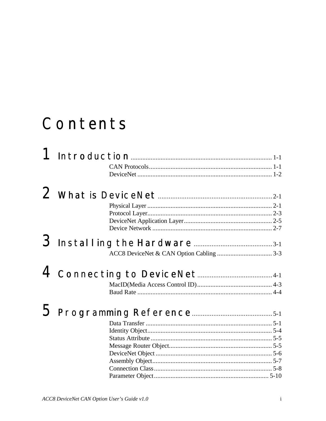# <span id="page-2-0"></span>**Contents**

| 2 What is DeviceNet <b>Election Contract Contract</b> 2-1 |  |
|-----------------------------------------------------------|--|
|                                                           |  |
|                                                           |  |
|                                                           |  |
|                                                           |  |
|                                                           |  |
|                                                           |  |
|                                                           |  |
|                                                           |  |
|                                                           |  |
|                                                           |  |
|                                                           |  |
|                                                           |  |
|                                                           |  |
|                                                           |  |
|                                                           |  |
|                                                           |  |
|                                                           |  |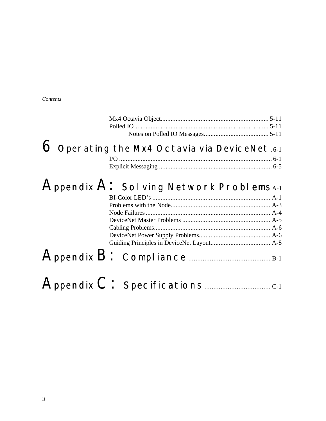Contents

## 6 Operating the Mx4 Octavia via DeviceNet .6-1

# Appendix A: Solving Network ProblemsA-1

|  | $\mathbf{A}$ ppendix $\mathbf{B}$ : Compliance <b>Election Compliance</b> |  |
|--|---------------------------------------------------------------------------|--|
|--|---------------------------------------------------------------------------|--|

|--|--|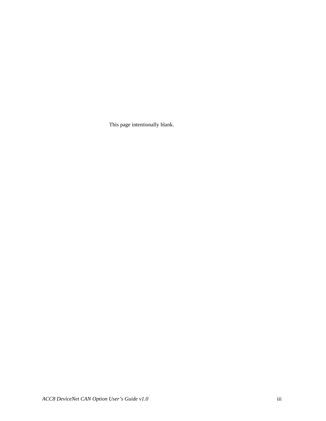This page intentionally blank.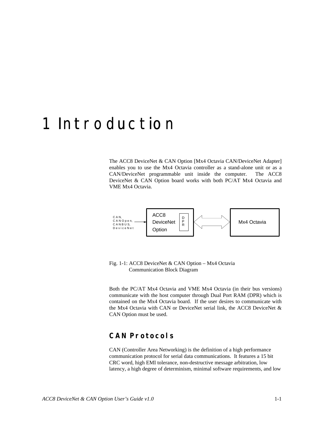# <span id="page-5-0"></span>1 Introduction

The ACC8 DeviceNet & CAN Option [Mx4 Octavia CAN/DeviceNet Adapter] enables you to use the Mx4 Octavia controller as a stand-alone unit or as a CAN/DeviceNet programmable unit inside the computer. The ACC8 DeviceNet & CAN Option board works with both PC/AT Mx4 Octavia and VME Mx4 Octavia.



Fig. 1-1: ACC8 DeviceNet & CAN Option – Mx4 Octavia Communication Block Diagram

Both the PC/AT Mx4 Octavia and VME Mx4 Octavia (in their bus versions) communicate with the host computer through Dual Port RAM (DPR) which is contained on the Mx4 Octavia board. If the user desires to communicate with the Mx4 Octavia with CAN or DeviceNet serial link, the ACC8 DeviceNet & CAN Option must be used.

### **CAN Protocols**

CAN (Controller Area Networking) is the definition of a high performance communication protocol for serial data communications. It features a 15 bit CRC word, high EMI tolerance, non-destructive message arbitration, low latency, a high degree of determinism, minimal software requirements, and low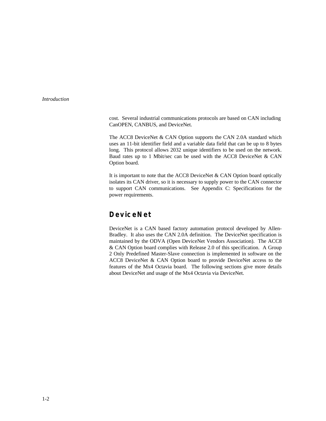#### *Introduction*

cost. Several industrial communications protocols are based on CAN including CanOPEN, CANBUS, and DeviceNet.

The ACC8 DeviceNet & CAN Option supports the CAN 2.0A standard which uses an 11-bit identifier field and a variable data field that can be up to 8 bytes long. This protocol allows 2032 unique identifiers to be used on the network. Baud rates up to 1 Mbit/sec can be used with the ACC8 DeviceNet & CAN Option board.

It is important to note that the ACC8 DeviceNet & CAN Option board optically isolates its CAN driver, so it is necessary to supply power to the CAN connector to support CAN communications. See Appendix C: Specifications for the power requirements.

### **DeviceNet**

DeviceNet is a CAN based factory automation protocol developed by Allen-Bradley. It also uses the CAN 2.0A definition. The DeviceNet specification is maintained by the ODVA (Open DeviceNet Vendors Association). The ACC8 & CAN Option board complies with Release 2.0 of this specification. A Group 2 Only Predefined Master-Slave connection is implemented in software on the ACC8 DeviceNet & CAN Option board to provide DeviceNet access to the features of the Mx4 Octavia board. The following sections give more details about DeviceNet and usage of the Mx4 Octavia via DeviceNet.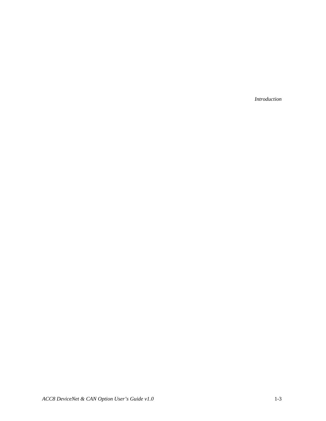*Introduction*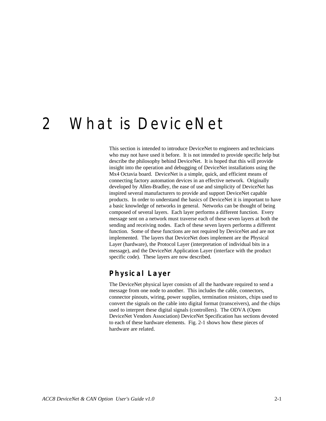<span id="page-8-0"></span>This section is intended to introduce DeviceNet to engineers and technicians who may not have used it before. It is not intended to provide specific help but describe the philosophy behind DeviceNet. It is hoped that this will provide insight into the operation and debugging of DeviceNet installations using the Mx4 Octavia board. DeviceNet is a simple, quick, and efficient means of connecting factory automation devices in an effective network. Originally developed by Allen-Bradley, the ease of use and simplicity of DeviceNet has inspired several manufacturers to provide and support DeviceNet capable products. In order to understand the basics of DeviceNet it is important to have a basic knowledge of networks in general. Networks can be thought of being composed of several layers. Each layer performs a different function. Every message sent on a network must traverse each of these seven layers at both the sending and receiving nodes. Each of these seven layers performs a different function. Some of these functions are not required by DeviceNet and are not implemented. The layers that DeviceNet does implement are the Physical Layer (hardware), the Protocol Layer (interpretation of individual bits in a message), and the DeviceNet Application Layer (interface with the product specific code). These layers are now described.

### **Physical Layer**

The DeviceNet physical layer consists of all the hardware required to send a message from one node to another. This includes the cable, connectors, connector pinouts, wiring, power supplies, termination resistors, chips used to convert the signals on the cable into digital format (transceivers), and the chips used to interpret these digital signals (controllers). The ODVA (Open DeviceNet Vendors Association) DeviceNet Specification has sections devoted to each of these hardware elements. Fig. 2-1 shows how these pieces of hardware are related.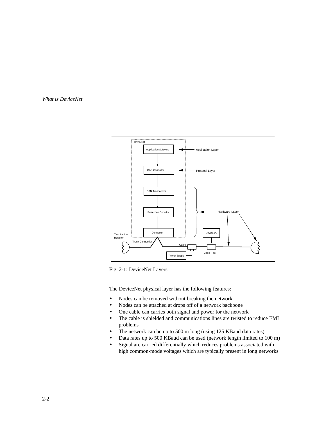

Fig. 2-1: DeviceNet Layers

The DeviceNet physical layer has the following features:

- Nodes can be removed without breaking the network
- Nodes can be attached at drops off of a network backbone
- One cable can carries both signal and power for the network
- The cable is shielded and communications lines are twisted to reduce EMI problems
- The network can be up to 500 m long (using 125 KBaud data rates)
- Data rates up to 500 KBaud can be used (network length limited to 100 m)
- Signal are carried differentially which reduces problems associated with high common-mode voltages which are typically present in long networks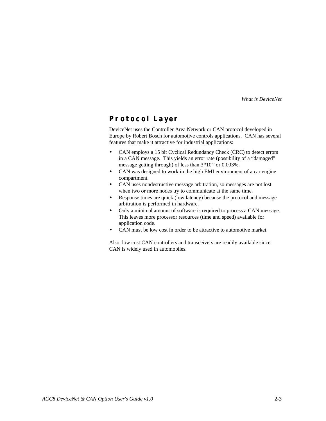### **Protocol Layer**

DeviceNet uses the Controller Area Network or CAN protocol developed in Europe by Robert Bosch for automotive controls applications. CAN has several features that make it attractive for industrial applications:

- CAN employs a 15 bit Cyclical Redundancy Check (CRC) to detect errors in a CAN message. This yields an error rate (possibility of a "damaged" message getting through) of less than  $3*10<sup>-5</sup>$  or 0.003%.
- CAN was designed to work in the high EMI environment of a car engine compartment.
- CAN uses nondestructive message arbitration, so messages are not lost when two or more nodes try to communicate at the same time.
- Response times are quick (low latency) because the protocol and message arbitration is performed in hardware.
- Only a minimal amount of software is required to process a CAN message. This leaves more processor resources (time and speed) available for application code.
- CAN must be low cost in order to be attractive to automotive market.

Also, low cost CAN controllers and transceivers are readily available since CAN is widely used in automobiles.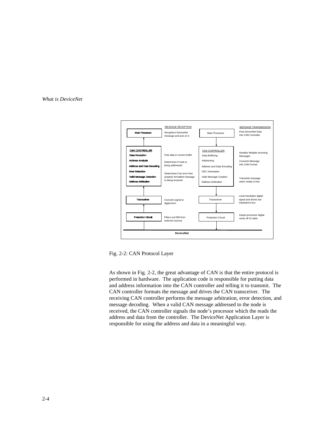

Fig. 2-2: CAN Protocol Layer

As shown in Fig. 2-2, the great advantage of CAN is that the entire protocol is performed in hardware. The application code is responsible for putting data and address information into the CAN controller and telling it to transmit. The CAN controller formats the message and drives the CAN transceiver. The receiving CAN controller performs the message arbitration, error detection, and message decoding. When a valid CAN message addressed to the node is received, the CAN controller signals the node's processor which the reads the address and data from the controller. The DeviceNet Application Layer is responsible for using the address and data in a meaningful way.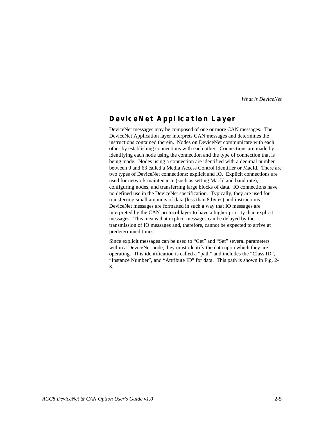### **DeviceNet Application Layer**

DeviceNet messages may be composed of one or more CAN messages. The DeviceNet Application layer interprets CAN messages and determines the instructions contained therein. Nodes on DeviceNet communicate with each other by establishing connections with each other. Connections are made by identifying each node using the connection and the type of connection that is being made. Nodes using a connection are identified with a decimal number between 0 and 63 called a Media Access Control Identifier or MacId. There are two types of DeviceNet connections: explicit and IO. Explicit connections are used for network maintenance (such as setting MacId and baud rate), configuring nodes, and transferring large blocks of data. IO connections have no defined use in the DeviceNet specification. Typically, they are used for transferring small amounts of data (less than 8 bytes) and instructions. DeviceNet messages are formatted in such a way that IO messages are interpreted by the CAN protocol layer to have a higher priority than explicit messages. This means that explicit messages can be delayed by the transmission of IO messages and, therefore, cannot be expected to arrive at predetermined times.

Since explicit messages can be used to "Get" and "Set" several parameters within a DeviceNet node, they must identify the data upon which they are operating. This identification is called a "path" and includes the "Class ID", "Instance Number", and "Attribute ID" for data. This path is shown in Fig. 2- 3.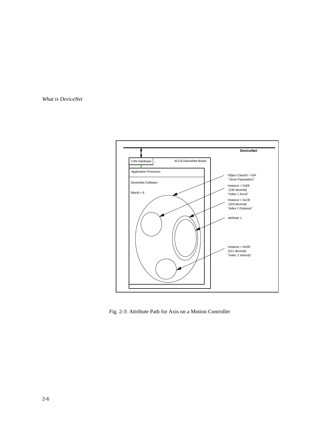

Fig. 2-3: Attribute Path for Axis on a Motion Controller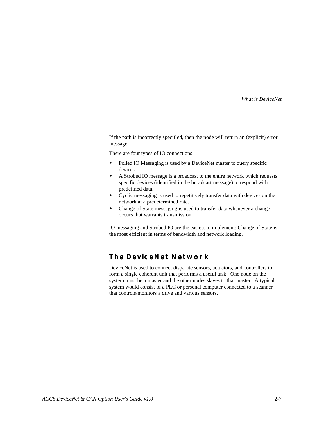If the path is incorrectly specified, then the node will return an (explicit) error message.

There are four types of IO connections:

- Polled IO Messaging is used by a DeviceNet master to query specific devices.
- A Strobed IO message is a broadcast to the entire network which requests specific devices (identified in the broadcast message) to respond with predefined data.
- Cyclic messaging is used to repetitively transfer data with devices on the network at a predetermined rate.
- Change of State messaging is used to transfer data whenever a change occurs that warrants transmission.

IO messaging and Strobed IO are the easiest to implement; Change of State is the most efficient in terms of bandwidth and network loading.

### **The DeviceNet Network**

DeviceNet is used to connect disparate sensors, actuators, and controllers to form a single coherent unit that performs a useful task. One node on the system must be a master and the other nodes slaves to that master. A typical system would consist of a PLC or personal computer connected to a scanner that controls/monitors a drive and various sensors.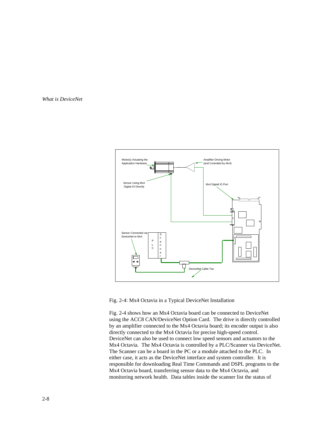

Fig. 2-4: Mx4 Octavia in a Typical DeviceNet Installation

Fig. 2-4 shows how an Mx4 Octavia board can be connected to DeviceNet using the ACC8 CAN/DeviceNet Option Card. The drive is directly controlled by an amplifier connected to the Mx4 Octavia board; its encoder output is also directly connected to the Mx4 Octavia for precise high-speed control. DeviceNet can also be used to connect low speed sensors and actuators to the Mx4 Octavia. The Mx4 Octavia is controlled by a PLC/Scanner via DeviceNet. The Scanner can be a board in the PC or a module attached to the PLC. In either case, it acts as the DeviceNet interface and system controller. It is responsible for downloading Real Time Commands and DSPL programs to the Mx4 Octavia board, transferring sensor data to the Mx4 Octavia, and monitoring network health. Data tables inside the scanner list the status of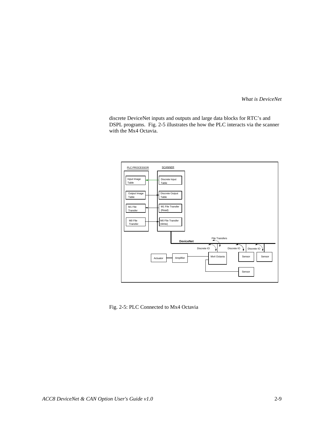discrete DeviceNet inputs and outputs and large data blocks for RTC's and DSPL programs. Fig. 2-5 illustrates the how the PLC interacts via the scanner with the Mx4 Octavia.



Fig. 2-5: PLC Connected to Mx4 Octavia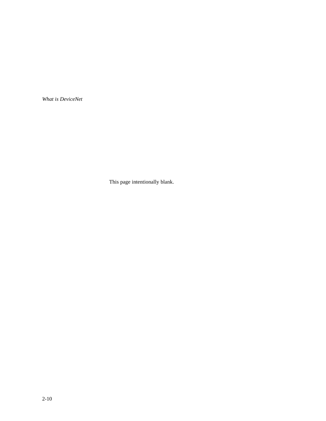This page intentionally blank.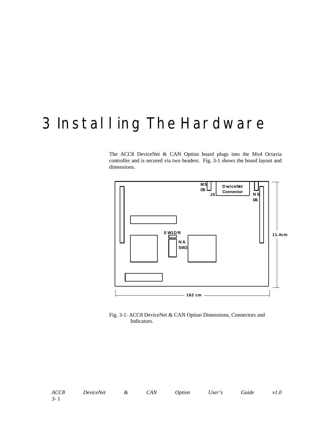<span id="page-18-0"></span>The ACC8 DeviceNet & CAN Option board plugs into the Mx4 Octavia controller and is secured via two headers. Fig. 3-1 shows the board layout and dimensions.



Fig. 3-1: ACC8 DeviceNet & CAN Option Dimensions, Connectors and Indicators.

*3-* 1

*ACC8 DeviceNet & CAN Option User's Guide v1.0*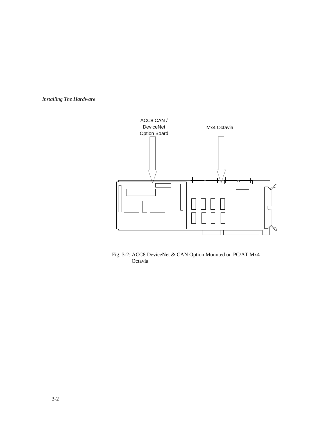

 Fig. 3-2: ACC8 DeviceNet & CAN Option Mounted on PC/AT Mx4 **Octavia**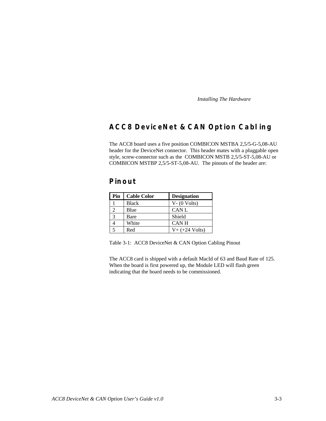## **ACC8 DeviceNet & CAN Option Cabling**

The ACC8 board uses a five position COMBICON MSTBA 2,5/5-G-5,08-AU header for the DeviceNet connector. This header mates with a pluggable open style, screw-connector such as the COMBICON MSTB 2,5/5-ST-5,08-AU or COMBICON MSTBP 2,5/5-ST-5,08-AU. The pinouts of the header are:

#### **Pinout**

| Pin | <b>Cable Color</b> | <b>Designation</b>       |
|-----|--------------------|--------------------------|
|     | <b>Black</b>       | $V - (0 \text{ Volts})$  |
|     | Blue               | <b>CANL</b>              |
|     | Bare               | Shield                   |
|     | White              | <b>CANH</b>              |
|     | Red                | $V+ (+24 \text{ Volts})$ |

Table 3-1: ACC8 DeviceNet & CAN Option Cabling Pinout

The ACC8 card is shipped with a default MacId of 63 and Baud Rate of 125. When the board is first powered up, the Module LED will flash green indicating that the board needs to be commissioned.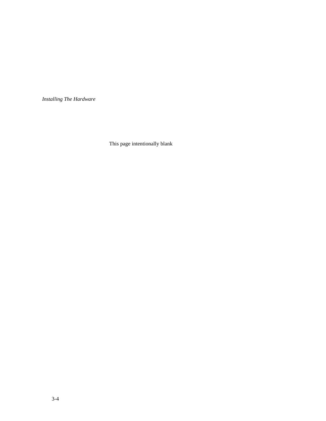This page intentionally blank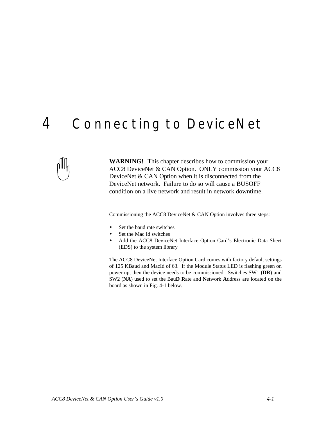# <span id="page-22-0"></span>4 Connecting to DeviceNet

**WARNING!** This chapter describes how to commission your ACC8 DeviceNet & CAN Option. ONLY commission your ACC8 DeviceNet & CAN Option when it is disconnected from the DeviceNet network. Failure to do so will cause a BUSOFF condition on a live network and result in network downtime.

Commissioning the ACC8 DeviceNet & CAN Option involves three steps:

- Set the baud rate switches
- Set the Mac Id switches
- Add the ACC8 DeviceNet Interface Option Card's Electronic Data Sheet (EDS) to the system library

The ACC8 DeviceNet Interface Option Card comes with factory default settings of 125 KBaud and MacId of 63. If the Module Status LED is flashing green on power up, then the device needs to be commissioned. Switches SW1 (**DR**) and SW2 (**NA**) used to set the Bau**D R**ate and **N**etwork **A**ddress are located on the board as shown in Fig. 4-1 below.

*ACC8 DeviceNet & CAN Option User's Guide v1.0 4-1*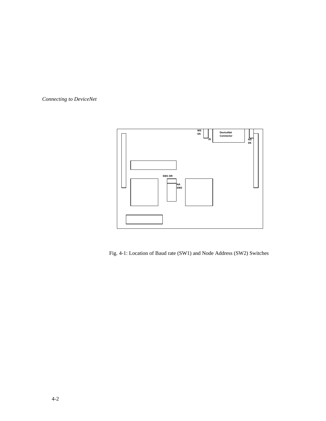*Connecting to DeviceNet*



Fig. 4-1: Location of Baud rate (SW1) and Node Address (SW2) Switches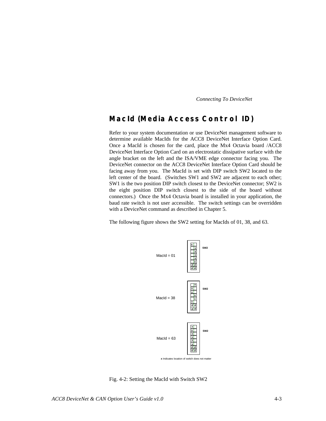*Connecting To DeviceNet*

## **MacId (Media Access Control ID)**

Refer to your system documentation or use DeviceNet management software to determine available MacIds for the ACC8 DeviceNet Interface Option Card. Once a MacId is chosen for the card, place the Mx4 Octavia board /ACC8 DeviceNet Interface Option Card on an electrostatic dissipative surface with the angle bracket on the left and the ISA/VME edge connector facing you. The DeviceNet connector on the ACC8 DeviceNet Interface Option Card should be facing away from you. The MacId is set with DIP switch SW2 located to the left center of the board. (Switches SW1 and SW2 are adjacent to each other; SW1 is the two position DIP switch closest to the DeviceNet connector; SW2 is the eight position DIP switch closest to the side of the board without connectors.) Once the Mx4 Octavia board is installed in your application, the baud rate switch is not user accessible. The switch settings can be overridden with a DeviceNet command as described in Chapter 5.

The following figure shows the SW2 setting for MacIds of 01, 38, and 63.



Fig. 4-2: Setting the MacId with Switch SW2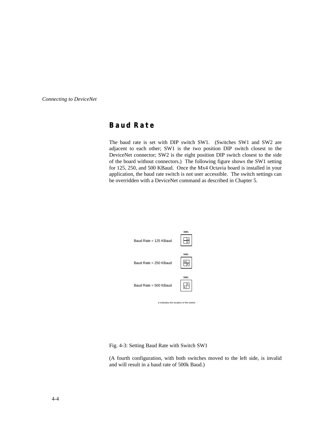*Connecting to DeviceNet*

### **Baud Rate**

The baud rate is set with DIP switch SW1. (Switches SW1 and SW2 are adjacent to each other; SW1 is the two position DIP switch closest to the DeviceNet connector; SW2 is the eight position DIP switch closest to the side of the board without connectors.) The following figure shows the SW1 setting for 125, 250, and 500 KBaud. Once the Mx4 Octavia board is installed in your application, the baud rate switch is not user accessible. The switch settings can be overridden with a DeviceNet command as described in Chapter 5.



Fig. 4-3: Setting Baud Rate with Switch SW1

(A fourth configuration, with both switches moved to the left side, is invalid and will result in a baud rate of 500k Baud.)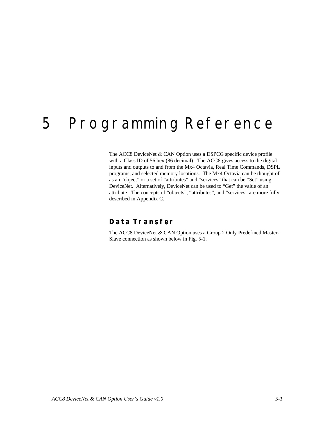<span id="page-26-0"></span>The ACC8 DeviceNet & CAN Option uses a DSPCG specific device profile with a Class ID of 56 hex (86 decimal). The ACC8 gives access to the digital inputs and outputs to and from the Mx4 Octavia, Real Time Commands, DSPL programs, and selected memory locations. The Mx4 Octavia can be thought of as an "object" or a set of "attributes" and "services" that can be "Set" using DeviceNet. Alternatively, DeviceNet can be used to "Get" the value of an attribute. The concepts of "objects", "attributes", and "services" are more fully described in Appendix C.

## **Data Transfer**

The ACC8 DeviceNet & CAN Option uses a Group 2 Only Predefined Master-Slave connection as shown below in Fig. 5-1.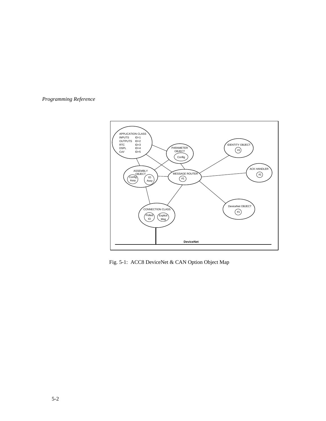

Fig. 5-1: ACC8 DeviceNet & CAN Option Object Map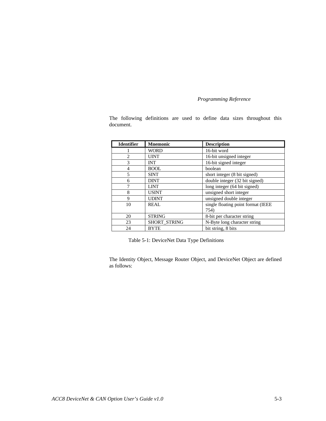The following definitions are used to define data sizes throughout this document.

| <b>Identifier</b> | <b>Mnemonic</b>     | <b>Description</b>                 |
|-------------------|---------------------|------------------------------------|
|                   | <b>WORD</b>         | 16-bit word                        |
| $\mathfrak{D}$    | <b>UINT</b>         | 16-bit unsigned integer            |
| 3                 | <b>INT</b>          | 16-bit signed integer              |
| 4                 | <b>BOOL</b>         | boolean                            |
| 5                 | <b>SINT</b>         | short integer (8 bit signed)       |
| 6                 | <b>DINT</b>         | double integer (32 bit signed)     |
| 7                 | <b>LINT</b>         | long integer (64 bit signed)       |
| 8                 | <b>USINT</b>        | unsigned short integer             |
| 9                 | <b>UDINT</b>        | unsigned double integer            |
| 10                | REAL                | single floating point format (IEEE |
|                   |                     | 754)                               |
| 20                | <b>STRING</b>       | 8-bit per character string         |
| 23                | <b>SHORT STRING</b> | N-Byte long character string       |
| 24                | <b>BYTE</b>         | bit string, 8 bits                 |

Table 5-1: DeviceNet Data Type Definitions

The Identity Object, Message Router Object, and DeviceNet Object are defined as follows: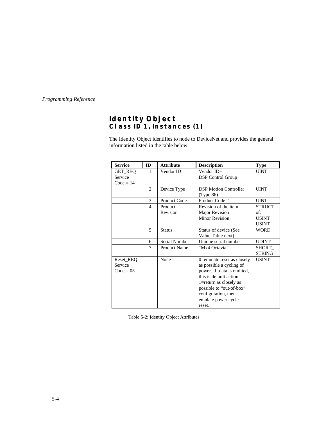#### **Identity Object Class ID 1, Instances (1)**

The Identity Object identifies to node to DeviceNet and provides the general information listed in the table below

| <b>Service</b> | ID             | <b>Attribute</b>    | <b>Description</b>           | <b>Type</b>   |
|----------------|----------------|---------------------|------------------------------|---------------|
| GET_REQ        | 1              | Vendor ID           | Vendor $ID=$                 | <b>UINT</b>   |
| Service        |                |                     | <b>DSP</b> Control Group     |               |
| $Code = 14$    |                |                     |                              |               |
|                | $\overline{2}$ | Device Type         | <b>DSP Motion Controller</b> | <b>UINT</b>   |
|                |                |                     | (Type 86)                    |               |
|                | 3              | <b>Product Code</b> | Product Code=1               | <b>UINT</b>   |
|                | $\overline{4}$ | Product             | Revision of the item         | <b>STRUCT</b> |
|                |                | Revision            | <b>Major Revision</b>        | of:           |
|                |                |                     | <b>Minor Revision</b>        | <b>USINT</b>  |
|                |                |                     |                              | <b>USINT</b>  |
|                | 5              | <b>Status</b>       | Status of device (See        | <b>WORD</b>   |
|                |                |                     | Value Table next)            |               |
|                | 6              | Serial Number       | Unique serial number         | <b>UDINT</b>  |
|                | 7              | <b>Product Name</b> | "Mx4 Octavia"                | SHORT         |
|                |                |                     |                              | <b>STRING</b> |
| Reset_REQ      |                | None                | 0=emulate reset as closely   | <b>USINT</b>  |
| Service        |                |                     | as possible a cycling of     |               |
| $Code = 05$    |                |                     | power. If data is omitted,   |               |
|                |                |                     | this is default action       |               |
|                |                |                     | 1=return as closely as       |               |
|                |                |                     | possible to "out-of-box"     |               |
|                |                |                     | configuration, then          |               |
|                |                |                     | emulate power cycle          |               |
|                |                |                     | reset.                       |               |

Table 5-2: Identity Object Attributes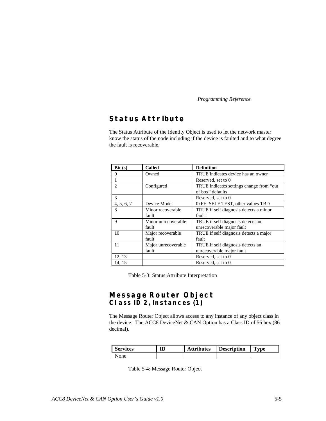## **Status Attribute**

The Status Attribute of the Identity Object is used to let the network master know the status of the node including if the device is faulted and to what degree the fault is recoverable.

| Bit(s)         | <b>Called</b>       | <b>Definition</b>                        |
|----------------|---------------------|------------------------------------------|
| 0              | Owned               | TRUE indicates device has an owner       |
|                |                     | Reserved, set to 0                       |
| $\mathfrak{D}$ | Configured          | TRUE indicates settings change from "out |
|                |                     | of box" defaults                         |
| 3              |                     | Reserved, set to 0                       |
| 4, 5, 6, 7     | Device Mode         | 0xFF=SELF TEST, other values TBD         |
| 8              | Minor recoverable   | TRUE if self diagnosis detects a minor   |
|                | fault               | fault                                    |
| 9              | Minor unrecoverable | TRUE if self diagnosis detects an        |
|                | fault               | unrecoverable major fault                |
| 10             | Major recoverable   | TRUE if self diagnosis detects a major   |
|                | fault               | fault                                    |
| 11             | Major unrecoverable | TRUE if self diagnosis detects an        |
|                | fault               | unrecoverable major fault                |
| 12, 13         |                     | Reserved, set to 0                       |
| 14, 15         |                     | Reserved, set to 0                       |

Table 5-3: Status Attribute Interpretation

#### **Message Router Object Class ID 2, Instances (1)**

The Message Router Object allows access to any instance of any object class in the device. The ACC8 DeviceNet & CAN Option has a Class ID of 56 hex (86 decimal).

| $\sim$<br><b>Services</b> | ${\bf I\bf I}$ | <b>Attributes</b> | <b>Description</b> | $T$ vpe |
|---------------------------|----------------|-------------------|--------------------|---------|
| 'one                      |                |                   |                    |         |

Table 5-4: Message Router Object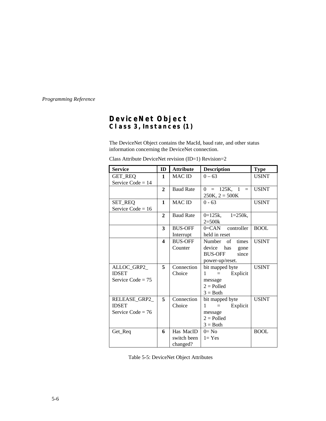#### **DeviceNet Object Class 3, Instances (1)**

The DeviceNet Object contains the MacId, baud rate, and other status information concerning the DeviceNet connection.

| <b>Service</b>      | ID               | <b>Attribute</b> | <b>Description</b>      | <b>Type</b>  |
|---------------------|------------------|------------------|-------------------------|--------------|
| <b>GET_REQ</b>      | 1                | <b>MAC ID</b>    | $0 - 63$                | <b>USINT</b> |
| Service Code = $14$ |                  |                  |                         |              |
|                     | $\mathbf{2}$     | <b>Baud Rate</b> | $125K$ , $1 =$<br>$0 =$ | <b>USINT</b> |
|                     |                  |                  | $250K, 2 = 500K$        |              |
| <b>SET_REQ</b>      | $\mathbf{1}$     | <b>MAC ID</b>    | $0 - 63$                | <b>USINT</b> |
| Service Code = $16$ |                  |                  |                         |              |
|                     | $\overline{2}$   | <b>Baud Rate</b> | $0=125k$ , $1=250k$ ,   |              |
|                     |                  |                  | $2 = 500k$              |              |
|                     | 3                | <b>BUS-OFF</b>   | $0 = CAN$ controller    | <b>BOOL</b>  |
|                     |                  | Interrupt        | held in reset           |              |
|                     | $\boldsymbol{4}$ | <b>BUS-OFF</b>   | times<br>Number of      | <b>USINT</b> |
|                     |                  | Counter          | device<br>has<br>gone   |              |
|                     |                  |                  | <b>BUS-OFF</b><br>since |              |
|                     |                  |                  | power-up/reset.         |              |
| ALLOC_GRP2_         | 5                | Connection       | bit mapped byte         | <b>USINT</b> |
| <b>IDSET</b>        |                  | Choice           | 1<br>Explicit<br>$=$    |              |
| Service Code = $75$ |                  |                  | message                 |              |
|                     |                  |                  | $2 =$ Polled            |              |
|                     |                  |                  | $3 = Both$              |              |
| RELEASE_GRP2_       | 5                | Connection       | bit mapped byte         | <b>USINT</b> |
| <b>IDSET</b>        |                  | Choice           | 1<br>Explicit<br>$=$    |              |
| Service Code = $76$ |                  |                  | message                 |              |
|                     |                  |                  | $2 =$ Polled            |              |
|                     |                  |                  | $3 = Both$              |              |
| Get_Req             | 6                | Has MacID        | $0=$ No                 | <b>BOOL</b>  |
|                     |                  | switch been      | $1 = Yes$               |              |
|                     |                  | changed?         |                         |              |

Class Attribute DeviceNet revision (ID=1) Revision=2

Table 5-5: DeviceNet Object Attributes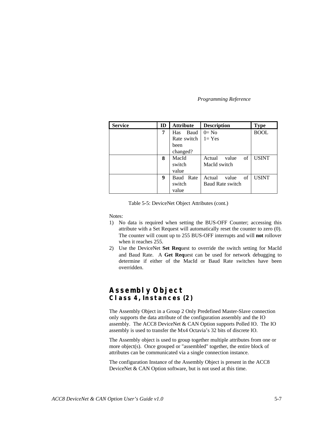| <b>Service</b> | ID | <b>Attribute</b> | <b>Description</b>    | <b>Type</b>  |
|----------------|----|------------------|-----------------------|--------------|
|                | 7  | Has<br>Baud      | $0=$ No               | <b>BOOL</b>  |
|                |    | Rate switch      | $1 = Yes$             |              |
|                |    | been             |                       |              |
|                |    | changed?         |                       |              |
|                | 8  | MacId            | of<br>value<br>Actual | <b>USINT</b> |
|                |    | switch           | MacId switch          |              |
|                |    | value            |                       |              |
|                | 9  | Rate<br>Baud     | of<br>Actual<br>value | <b>USINT</b> |
|                |    | switch           | Baud Rate switch      |              |
|                |    | value            |                       |              |

Table 5-5: DeviceNet Object Attributes (cont.)

Notes:

- 1) No data is required when setting the BUS-OFF Counter; accessing this attribute with a Set Request will automatically reset the counter to zero (0). The counter will count up to 255 BUS-OFF interrupts and will **not** rollover when it reaches 255.
- 2) Use the DeviceNet **Set Req**uest to override the switch setting for MacId and Baud Rate. A **Get Req**uest can be used for network debugging to determine if either of the MacId or Baud Rate switches have been overridden.

#### **Assembly Object Class 4, Instances (2)**

The Assembly Object in a Group 2 Only Predefined Master-Slave connection only supports the data attribute of the configuration assembly and the IO assembly. The ACC8 DeviceNet & CAN Option supports Polled IO. The IO assembly is used to transfer the Mx4 Octavia's 32 bits of discrete IO.

The Assembly object is used to group together multiple attributes from one or more object(s). Once grouped or "assembled" together, the entire block of attributes can be communicated via a single connection instance.

The configuration Instance of the Assembly Object is present in the ACC8 DeviceNet & CAN Option software, but is not used at this time.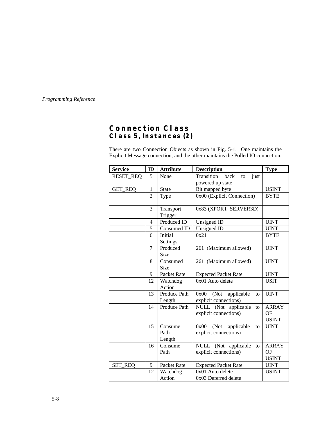## **Connection Class Class 5, Instances (2)**

There are two Connection Objects as shown in Fig. 5-1. One maintains the Explicit Message connection, and the other maintains the Polled IO connection.

| <b>Service</b>   | ID             | <b>Attribute</b>           | <b>Description</b>               | <b>Type</b>  |
|------------------|----------------|----------------------------|----------------------------------|--------------|
| <b>RESET_REQ</b> | 5              | None                       | Transition<br>back<br>just<br>to |              |
|                  |                |                            | powered up state                 |              |
| GET_REQ          | $\mathbf{1}$   | <b>State</b>               | Bit mapped byte                  | <b>USINT</b> |
|                  | $\overline{2}$ | Type                       | 0x00 (Explicit Connection)       | <b>BYTE</b>  |
|                  | 3              | Transport<br>Trigger       | 0x83 (XPORT_SERVER3D)            |              |
|                  | $\overline{4}$ | Produced ID<br>Unsigned ID |                                  | <b>UINT</b>  |
|                  | $\overline{5}$ | Consumed ID                | Unsigned ID                      | <b>UINT</b>  |
|                  | 6              | Initial<br>Settings        | 0x21                             | <b>BYTE</b>  |
|                  | $\overline{7}$ | Produced<br>Size           | 261 (Maximum allowed)            | <b>UINT</b>  |
|                  | 8              | Consumed<br>Size           | 261 (Maximum allowed)            | <b>UINT</b>  |
|                  | 9              | Packet Rate                | <b>Expected Packet Rate</b>      | <b>UINT</b>  |
|                  | 12             | Watchdog                   | 0x01 Auto delete                 | <b>USIT</b>  |
|                  |                | Action                     |                                  |              |
|                  | 13             | Produce Path               | applicable<br>0x00<br>(Not<br>to | <b>UINT</b>  |
|                  |                | Length                     | explicit connections)            |              |
|                  | 14             | Produce Path               | NULL (Not applicable<br>to       | <b>ARRAY</b> |
|                  |                |                            | explicit connections)            | <b>OF</b>    |
|                  |                |                            |                                  | <b>USINT</b> |
|                  | 15             | Consume                    | (Not<br>0x00<br>applicable<br>to | <b>UINT</b>  |
|                  |                | Path                       | explicit connections)            |              |
|                  |                | Length                     |                                  |              |
|                  | 16             | Consume                    | NULL (Not applicable<br>to       | <b>ARRAY</b> |
|                  |                | Path                       | explicit connections)            | <b>OF</b>    |
|                  |                |                            |                                  | <b>USINT</b> |
| <b>SET_REQ</b>   | 9              | Packet Rate                | <b>Expected Packet Rate</b>      | <b>UINT</b>  |
|                  | 12             | Watchdog                   | 0x01 Auto delete                 | <b>USINT</b> |
|                  |                | Action                     | 0x03 Deferred delete             |              |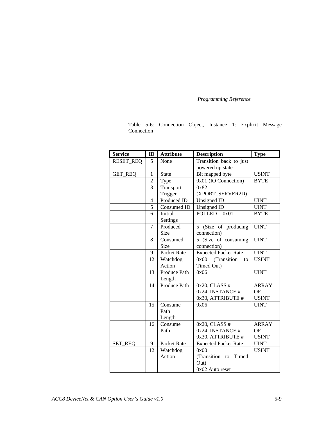Table 5-6: Connection Object, Instance 1: Explicit Message Connection

| <b>Service</b>   | ID             | <b>Attribute</b> | <b>Description</b>          | <b>Type</b>  |
|------------------|----------------|------------------|-----------------------------|--------------|
| <b>RESET_REQ</b> | 5              | None             | Transition back to just     |              |
|                  |                |                  | powered up state            |              |
| GET_REQ          | $\mathbf{1}$   | <b>State</b>     | Bit mapped byte             | <b>USINT</b> |
|                  | $\overline{2}$ | Type             | 0x01 (IO Connection)        | <b>BYTE</b>  |
|                  | 3              | Transport        | 0x82                        |              |
|                  |                | Trigger          | (XPORT_SERVER2D)            |              |
|                  | $\overline{4}$ | Produced ID      | <b>Unsigned ID</b>          | <b>UINT</b>  |
|                  | 5              | Consumed ID      | Unsigned ID                 | <b>UINT</b>  |
|                  | 6              | Initial          | $POLLED = 0x01$             | <b>BYTE</b>  |
|                  |                | Settings         |                             |              |
|                  | 7              | Produced         | 5 (Size of producing        | <b>UINT</b>  |
|                  |                | Size             | connection)                 |              |
|                  | 8              | Consumed         | 5 (Size of consuming        | <b>UINT</b>  |
|                  |                | Size             | connection)                 |              |
|                  | 9              | Packet Rate      | <b>Expected Packet Rate</b> | <b>UINT</b>  |
|                  | 12             | Watchdog         | (Transition<br>0x00<br>to   | <b>USINT</b> |
|                  |                | Action           | Timed Out)                  |              |
|                  | 13             | Produce Path     | 0x06                        | <b>UINT</b>  |
|                  |                | Length           |                             |              |
|                  | 14             | Produce Path     | $0x20$ , CLASS #            | <b>ARRAY</b> |
|                  |                |                  | $0x24$ , INSTANCE #         | <b>OF</b>    |
|                  |                |                  | 0x30, ATTRIBUTE #           | <b>USINT</b> |
|                  | 15             | Consume          | 0x06                        | <b>UINT</b>  |
|                  |                | Path             |                             |              |
|                  |                | Length           |                             |              |
|                  | 16             | Consume          | $0x20$ , CLASS #            | <b>ARRAY</b> |
|                  |                | Path             | 0x24, INSTANCE #            | <b>OF</b>    |
|                  |                |                  | 0x30, ATTRIBUTE #           | <b>USINT</b> |
| <b>SET_REQ</b>   | 9              | Packet Rate      | <b>Expected Packet Rate</b> | <b>UINT</b>  |
|                  | 12             | Watchdog         | 0x00                        | <b>USINT</b> |
|                  |                | Action           | (Transition to<br>Timed     |              |
|                  |                |                  | Out)                        |              |
|                  |                |                  | 0x02 Auto reset             |              |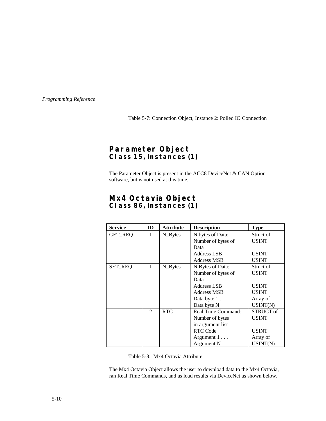Table 5-7: Connection Object, Instance 2: Polled IO Connection

#### **Parameter Object Class 15, Instances (1)**

The Parameter Object is present in the ACC8 DeviceNet & CAN Option software, but is not used at this time.

### **Mx4 Octavia Object Class 86, Instances (1)**

| <b>Service</b> | ID                          | <b>Attribute</b> | <b>Description</b>   | <b>Type</b>  |
|----------------|-----------------------------|------------------|----------------------|--------------|
| <b>GET_REQ</b> | 1                           | $N_B$ ytes       | N bytes of Data:     | Struct of    |
|                |                             |                  | Number of bytes of   | <b>USINT</b> |
|                |                             |                  | Data                 |              |
|                |                             |                  | Address LSB          | <b>USINT</b> |
|                |                             |                  | Address MSB          | <b>USINT</b> |
| <b>SET_REQ</b> | 1                           | N_Bytes          | N Bytes of Data:     | Struct of    |
|                |                             |                  | Number of bytes of   | <b>USINT</b> |
|                |                             |                  | Data                 |              |
|                |                             |                  | Address LSB          | <b>USINT</b> |
|                |                             |                  | Address MSB          | <b>USINT</b> |
|                |                             |                  | Data byte $1 \ldots$ | Array of     |
|                |                             |                  | Data byte N          | USINT(N)     |
|                | $\mathcal{D}_{\mathcal{L}}$ | <b>RTC</b>       | Real Time Command:   | STRUCT of    |
|                |                             |                  | Number of bytes      | <b>USINT</b> |
|                |                             |                  | in argument list     |              |
|                |                             |                  | <b>RTC Code</b>      | <b>USINT</b> |
|                |                             |                  | Argument $1 \ldots$  | Array of     |
|                |                             |                  | Argument N           | USINT(N)     |

Table 5-8: Mx4 Octavia Attribute

The Mx4 Octavia Object allows the user to download data to the Mx4 Octavia, ran Real Time Commands, and as load results via DeviceNet as shown below.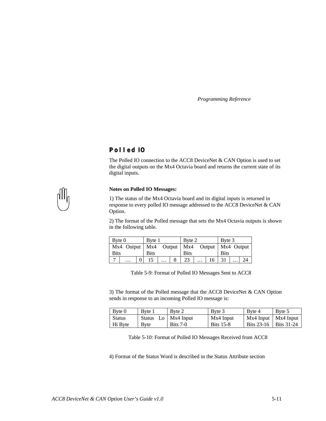*Programming Reference*

## **Polled IO**

The Polled IO connection to the ACC8 DeviceNet & CAN Option is used to set the digital outputs on the Mx4 Octavia board and returns the current state of its digital inputs.



#### **Notes on Polled IO Messages:**

1) The status of the Mx4 Octavia board and its digital inputs is returned in response to every polled IO message addressed to the ACC8 DeviceNet & CAN Option.

2) The format of the Polled message that sets the Mx4 Octavia outputs is shown in the following table.

| $B$ yte 0   |                                                   | Byte 1      |  | Byte 2                                         |  | Byte 3      |    |
|-------------|---------------------------------------------------|-------------|--|------------------------------------------------|--|-------------|----|
|             | Mx4 Output   Mx4 Output   Mx4 Output   Mx4 Output |             |  |                                                |  |             |    |
| <b>Bits</b> |                                                   | <b>Bits</b> |  | <b>Bits</b>                                    |  | <b>Bits</b> |    |
|             | $\cdots$                                          | $0\quad 15$ |  | $\dots$   8   23   $\dots$   16   31   $\dots$ |  |             | 24 |

| Table 5-9: Format of Polled IO Messages Sent to ACC8 |  |  |  |
|------------------------------------------------------|--|--|--|
|                                                      |  |  |  |

3) The format of the Polled message that the ACC8 DeviceNet & CAN Option sends in response to an incoming Polled IO message is:

| Byte 0               | Byte 1       | Byte 2           | Byte 3           | Byte 4                      | Byte 5 |
|----------------------|--------------|------------------|------------------|-----------------------------|--------|
| Status               | Status       | $Lo$   Mx4 Input | Mx4 Input        | $Mx4$ Input   $Mx4$ Input   |        |
| <sup>1</sup> Hi Byte | <b>B</b> yte | Bits $7-0$       | <b>Bits 15-8</b> | Bits $23-16$   Bits $31-24$ |        |

Table 5-10: Format of Polled IO Messages Received from ACC8

4) Format of the Status Word is described in the Status Attribute section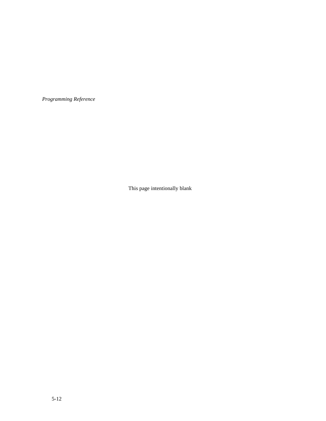*Programming Reference*

This page intentionally blank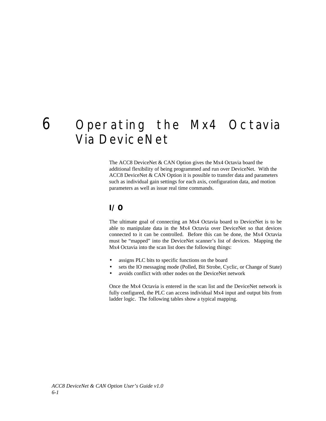The ACC8 DeviceNet & CAN Option gives the Mx4 Octavia board the additional flexibility of being programmed and run over DeviceNet. With the ACC8 DeviceNet & CAN Option it is possible to transfer data and parameters such as individual gain settings for each axis, configuration data, and motion parameters as well as issue real time commands.

## **I/O**

The ultimate goal of connecting an Mx4 Octavia board to DeviceNet is to be able to manipulate data in the Mx4 Octavia over DeviceNet so that devices connected to it can be controlled. Before this can be done, the Mx4 Octavia must be "mapped" into the DeviceNet scanner's list of devices. Mapping the Mx4 Octavia into the scan list does the following things:

- assigns PLC bits to specific functions on the board
- sets the IO messaging mode (Polled, Bit Strobe, Cyclic, or Change of State)
- avoids conflict with other nodes on the DeviceNet network

Once the Mx4 Octavia is entered in the scan list and the DeviceNet network is fully configured, the PLC can access individual Mx4 input and output bits from ladder logic. The following tables show a typical mapping.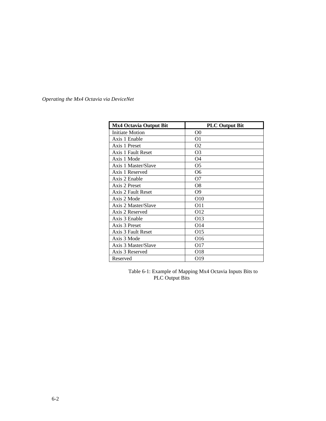| <b>Mx4 Octavia Output Bit</b> | <b>PLC Output Bit</b> |
|-------------------------------|-----------------------|
| Initiate Motion               | O <sub>0</sub>        |
| Axis 1 Enable                 | O <sub>1</sub>        |
| Axis 1 Preset                 | O <sub>2</sub>        |
| Axis 1 Fault Reset            | O <sub>3</sub>        |
| Axis 1 Mode                   | O4                    |
| Axis 1 Master/Slave           | O <sub>5</sub>        |
| Axis 1 Reserved               | Об                    |
| Axis 2 Enable                 | O7                    |
| Axis 2 Preset                 | O <sub>8</sub>        |
| Axis 2 Fault Reset            | O <sub>9</sub>        |
| Axis 2 Mode                   | O10                   |
| Axis 2 Master/Slave           | O11                   |
| Axis 2 Reserved               | O <sub>12</sub>       |
| Axis 3 Enable                 | O13                   |
| Axis 3 Preset                 | O <sub>14</sub>       |
| Axis 3 Fault Reset            | O <sub>15</sub>       |
| Axis 3 Mode                   | O <sub>16</sub>       |
| Axis 3 Master/Slave           | O17                   |
| Axis 3 Reserved               | O18                   |
| Reserved                      | O <sub>19</sub>       |

Table 6-1: Example of Mapping Mx4 Octavia Inputs Bits to PLC Output Bits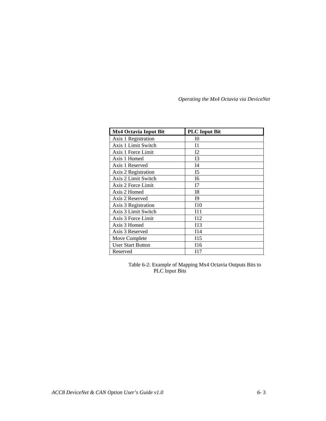| <b>Mx4 Octavia Input Bit</b> | <b>PLC</b> Input Bit |
|------------------------------|----------------------|
| Axis 1 Registration          | $_{\rm I0}$          |
| Axis 1 Limit Switch          | 11                   |
| Axis 1 Force Limit           | I2                   |
| Axis 1 Homed                 | I <sub>3</sub>       |
| Axis 1 Reserved              | I4                   |
| Axis 2 Registration          | I <sub>5</sub>       |
| Axis 2 Limit Switch          | I6                   |
| Axis 2 Force Limit           | I7                   |
| Axis 2 Homed                 | I8                   |
| Axis 2 Reserved              | 19                   |
| Axis 3 Registration          | I10                  |
| Axis 3 Limit Switch          | I11                  |
| Axis 3 Force Limit           | I12                  |
| Axis 3 Homed                 | I13                  |
| Axis 3 Reserved              | I14                  |
| Move Complete                | I15                  |
| <b>User Start Button</b>     | 116                  |
| Reserved                     | I17                  |

Table 6-2: Example of Mapping Mx4 Octavia Outputs Bits to PLC Input Bits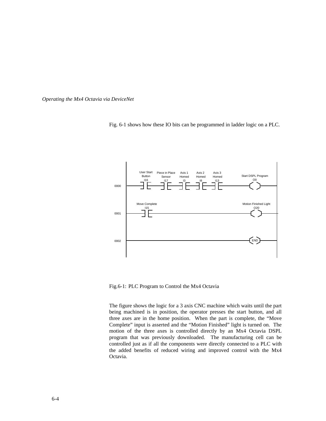



Fig.6-1: PLC Program to Control the Mx4 Octavia

The figure shows the logic for a 3 axis CNC machine which waits until the part being machined is in position, the operator presses the start button, and all three axes are in the home position. When the part is complete, the "Move Complete" input is asserted and the "Motion Finished" light is turned on. The motion of the three axes is controlled directly by an Mx4 Octavia DSPL program that was previously downloaded. The manufacturing cell can be controlled just as if all the components were directly connected to a PLC with the added benefits of reduced wiring and improved control with the Mx4 Octavia.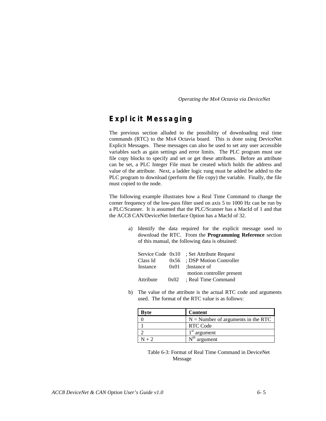## **Explicit Messaging**

The previous section alluded to the possibility of downloading real time commands (RTC) to the Mx4 Octavia board. This is done using DeviceNet Explicit Messages. These messages can also be used to set any user accessible variables such as gain settings and error limits. The PLC program must use file copy blocks to specify and set or get these attributes. Before an attribute can be set, a PLC Integer File must be created which holds the address and value of the attribute. Next, a ladder logic rung must be added be added to the PLC program to download (perform the file copy) the variable. Finally, the file must copied to the node.

The following example illustrates how a Real Time Command to change the corner frequency of the low-pass filter used on axis 5 to 1000 Hz can be run by a PLC/Scanner. It is assumed that the PLC/Scanner has a MacId of 1 and that the ACC8 CAN/DeviceNet Interface Option has a MacId of 32.

> a) Identify the data required for the explicit message used to download the RTC. From the **Programming Reference** section of this manual, the following data is obtained:

| Service Code 0x10 |      | ; Set Attribute Request   |
|-------------------|------|---------------------------|
| Class Id          | 0x56 | ; DSP Motion Controller   |
| Instance          | 0x01 | :Instance of              |
|                   |      | motion controller present |
| Attribute         | 0x02 | ; Real Time Command       |

b) The value of the attribute is the actual RTC code and arguments used. The format of the RTC value is as follows:

| Bvte | <b>Content</b>                       |
|------|--------------------------------------|
|      | $N =$ Number of arguments in the RTC |
|      | RTC Code                             |
|      | $1st$ argument                       |
|      | $Nth$ argument                       |

#### Table 6-3: Format of Real Time Command in DeviceNet Message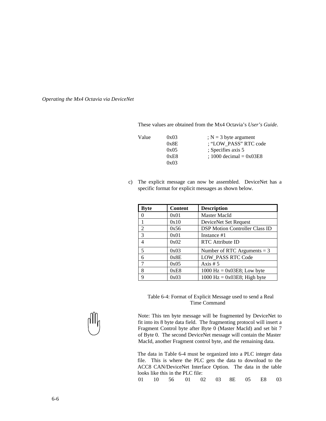These values are obtained from the Mx4 Octavia's *User's Guide*.

| Value | 0x03 | $N = 3$ byte argument     |  |
|-------|------|---------------------------|--|
|       | 0x8E | : "LOW PASS" RTC code     |  |
|       | 0x05 | ; Specifies axis 5        |  |
|       | 0xE8 | : 1000 decimal = $0x03E8$ |  |
|       | 0x03 |                           |  |

c) The explicit message can now be assembled. DeviceNet has a specific format for explicit messages as shown below.

| <b>Byte</b>    | <b>Content</b> | <b>Description</b>                    |
|----------------|----------------|---------------------------------------|
| $\theta$       | 0x01           | Master MacId                          |
|                | 0x10           | DeviceNet Set Request                 |
| 2              | 0x56           | <b>DSP Motion Controller Class ID</b> |
| 3              | 0x01           | Instance #1                           |
| $\overline{4}$ | 0x02           | <b>RTC</b> Attribute ID               |
| 5              | 0x03           | Number of RTC Arguments $=$ 3         |
| 6              | 0x8E           | <b>LOW PASS RTC Code</b>              |
| -7             | 0x05           | Axis $# 5$                            |
| -8             | 0xE8           | $1000$ Hz = 0x03E8; Low byte          |
| 9              | 0x03           | $1000$ Hz = 0x03E8; High byte         |

#### Table 6-4: Format of Explicit Message used to send a Real Time Command

Note: This ten byte message will be fragmented by DeviceNet to fit into its 8 byte data field. The fragmenting protocol will insert a Fragment Control byte after Byte 0 (Master MacId) and set bit 7 of Byte 0. The second DeviceNet message will contain the Master MacId, another Fragment control byte, and the remaining data.

The data in Table 6-4 must be organized into a PLC integer data file. This is where the PLC gets the data to download to the ACC8 CAN/DeviceNet Interface Option. The data in the table looks like this in the PLC file:

01 10 56 01 02 03 8E 05 E8 03

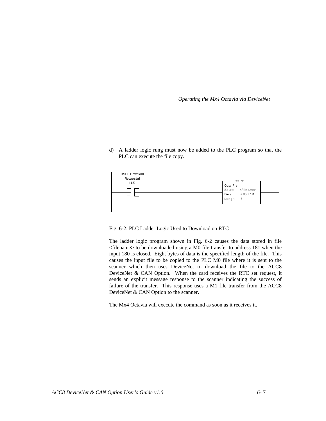d) A ladder logic rung must now be added to the PLC program so that the PLC can execute the file copy.



Fig. 6-2: PLC Ladder Logic Used to Download on RTC

The ladder logic program shown in Fig. 6-2 causes the data stored in file <filename> to be downloaded using a M0 file transfer to address 181 when the input 180 is closed. Eight bytes of data is the specified length of the file. This causes the input file to be copied to the PLC M0 file where it is sent to the scanner which then uses DeviceNet to download the file to the ACC8 DeviceNet & CAN Option. When the card receives the RTC set request, it sends an explicit message response to the scanner indicating the success of failure of the transfer. This response uses a M1 file transfer from the ACC8 DeviceNet & CAN Option to the scanner.

The Mx4 Octavia will execute the command as soon as it receives it.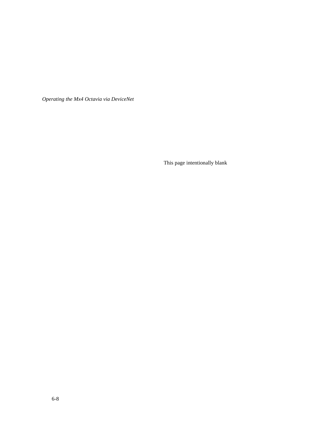This page intentionally blank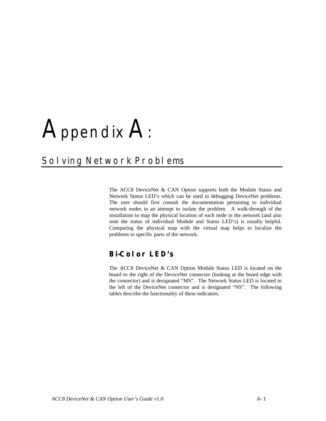# Appendix A:

## Solving Network Problems

The ACC8 DeviceNet & CAN Option supports both the Module Status and Network Status LED's which can be used in debugging DeviceNet problems. The user should first consult the documentation pertaining to individual network nodes in an attempt to isolate the problem. A walk-through of the installation to map the physical location of each node in the network (and also note the status of individual Module and Status LED's) is usually helpful. Comparing the physical map with the virtual map helps to localize the problems to specific parts of the network.

## **Bi-Color LED's**

The ACC8 DeviceNet & CAN Option Module Status LED is located on the board to the right of the DeviceNet connector (looking at the board edge with the connector) and is designated "MS". The Network Status LED is located to the left of the DeviceNet connector and is designated "NS". The following tables describe the functionality of these indicators.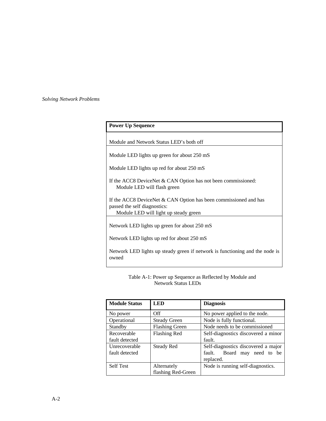| <b>Power Up Sequence</b>                                                                                                                  |
|-------------------------------------------------------------------------------------------------------------------------------------------|
| Module and Network Status LED's both off                                                                                                  |
| Module LED lights up green for about 250 mS                                                                                               |
| Module LED lights up red for about 250 mS                                                                                                 |
| If the ACC8 DeviceNet $& CAN$ Option has not been commissioned:<br>Module LED will flash green                                            |
| If the ACC8 DeviceNet & CAN Option has been commissioned and has<br>passed the self diagnostics:<br>Module LED will light up steady green |
| Network LED lights up green for about 250 mS                                                                                              |
| Network LED lights up red for about 250 mS                                                                                                |
| Network LED lights up steady green if network is functioning and the node is<br>owned                                                     |

Table A-1: Power up Sequence as Reflected by Module and Network Status LEDs

| <b>Module Status</b> | <b>LED</b>            | <b>Diagnosis</b>                    |
|----------------------|-----------------------|-------------------------------------|
| No power             | Off                   | No power applied to the node.       |
| Operational          | <b>Steady Green</b>   | Node is fully functional.           |
| Standby              | <b>Flashing Green</b> | Node needs to be commissioned       |
| Recoverable          | <b>Flashing Red</b>   | Self-diagnostics discovered a minor |
| fault detected       |                       | fault.                              |
| Unrecoverable        | <b>Steady Red</b>     | Self-diagnostics discovered a major |
| fault detected       |                       | Board may need to be<br>fault.      |
|                      |                       | replaced.                           |
| <b>Self Test</b>     | Alternately           | Node is running self-diagnostics.   |
|                      | flashing Red-Green    |                                     |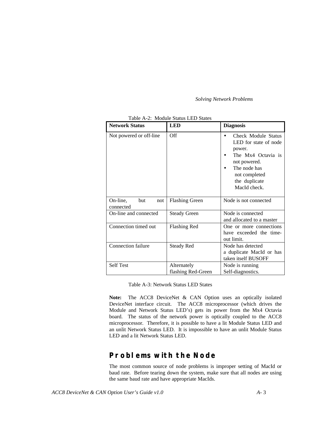| <b>Network Status</b>               | <b>LED</b>                        | <b>Diagnosis</b>                                                                                                                                               |
|-------------------------------------|-----------------------------------|----------------------------------------------------------------------------------------------------------------------------------------------------------------|
| Not powered or off-line             | Off                               | Check Module Status<br>LED for state of node<br>power.<br>The Mx4 Octavia is<br>not powered.<br>The node has<br>not completed<br>the duplicate<br>MacId check. |
| On-line,<br>but<br>not<br>connected | <b>Flashing Green</b>             | Node is not connected                                                                                                                                          |
| On-line and connected               | <b>Steady Green</b>               | Node is connected<br>and allocated to a master                                                                                                                 |
| Connection timed out                | Flashing Red                      | One or more connections<br>have exceeded the time-<br>out limit.                                                                                               |
| Connection failure                  | <b>Steady Red</b>                 | Node has detected<br>a duplicate MacId or has<br>taken itself BUSOFF                                                                                           |
| <b>Self Test</b>                    | Alternately<br>flashing Red-Green | Node is running<br>Self-diagnostics.                                                                                                                           |

Table A-2: Module Status LED States

Table A-3: Network Status LED States

**Note:** The ACC8 DeviceNet & CAN Option uses an optically isolated DeviceNet interface circuit. The ACC8 microprocessor (which drives the Module and Network Status LED's) gets its power from the Mx4 Octavia board. The status of the network power is optically coupled to the ACC8 microprocessor. Therefore, it is possible to have a lit Module Status LED and an unlit Network Status LED. It is impossible to have an unlit Module Status LED and a lit Network Status LED.

### **Problems with the Node**

The most common source of node problems is improper setting of MacId or baud rate. Before tearing down the system, make sure that all nodes are using the same baud rate and have appropriate MacIds.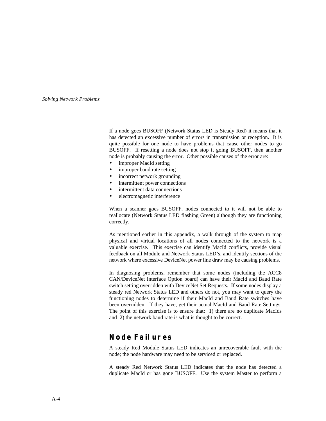If a node goes BUSOFF (Network Status LED is Steady Red) it means that it has detected an excessive number of errors in transmission or reception. It is quite possible for one node to have problems that cause other nodes to go BUSOFF. If resetting a node does not stop it going BUSOFF, then another node is probably causing the error. Other possible causes of the error are:

- improper MacId setting
- improper baud rate setting
- incorrect network grounding
- intermittent power connections
- intermittent data connections
- electromagnetic interference

When a scanner goes BUSOFF, nodes connected to it will not be able to reallocate (Network Status LED flashing Green) although they are functioning correctly.

As mentioned earlier in this appendix, a walk through of the system to map physical and virtual locations of all nodes connected to the network is a valuable exercise. This exercise can identify MacId conflicts, provide visual feedback on all Module and Network Status LED's, and identify sections of the network where excessive DeviceNet power line draw may be causing problems.

In diagnosing problems, remember that some nodes (including the ACC8 CAN/DeviceNet Interface Option board) can have their MacId and Baud Rate switch setting overridden with DeviceNet Set Requests. If some nodes display a steady red Network Status LED and others do not, you may want to query the functioning nodes to determine if their MacId and Baud Rate switches have been overridden. If they have, get their actual MacId and Baud Rate Settings. The point of this exercise is to ensure that: 1) there are no duplicate MacIds and 2) the network baud rate is what is thought to be correct.

### **Node Failures**

A steady Red Module Status LED indicates an unrecoverable fault with the node; the node hardware may need to be serviced or replaced.

A steady Red Network Status LED indicates that the node has detected a duplicate MacId or has gone BUSOFF. Use the system Master to perform a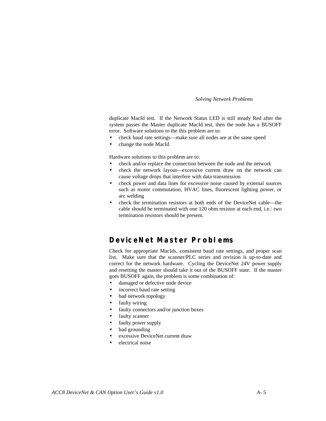duplicate MacId test. If the Network Status LED is still steady Red after the system passes the Master duplicate MacId test, then the node has a BUSOFF error. Software solutions to the this problem are to:

- check baud rate settings—make sure all nodes are at the same speed
- change the node MacId

Hardware solutions to this problem are to:

- check and/or replace the connection between the node and the network
- check the network layout—excessive current draw on the network can cause voltage drops that interfere with data transmission
- check power and data lines for excessive noise caused by external sources such as motor commutation, HVAC lines, fluorescent lighting power, or arc welding
- check the termination resistors at both ends of the DeviceNet cable—the cable should be terminated with one 120 ohm resistor at each end, i.e.: two termination resistors should be present.

## **DeviceNet Master Problems**

Check for appropriate MacIds, consistent baud rate settings, and proper scan list. Make sure that the scanner/PLC series and revision is up-to-date and correct for the network hardware. Cycling the DeviceNet 24V power supply and resetting the master should take it out of the BUSOFF state. If the master goes BUSOFF again, the problem is some combination of:

- damaged or defective node device
- incorrect baud rate setting
- bad network topology
- faulty wiring
- faulty connectors and/or junction boxes
- faulty scanner
- faulty power supply
- bad grounding
- excessive DeviceNet current draw
- electrical noise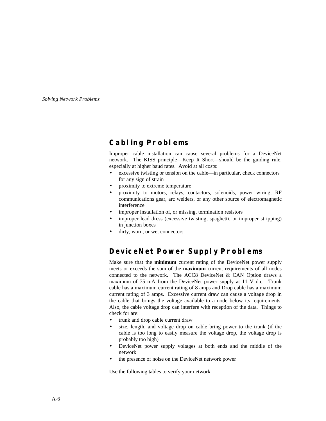## **Cabling Problems**

Improper cable installation can cause several problems for a DeviceNet network. The KISS principle—Keep It Short—should be the guiding rule, especially at higher baud rates. Avoid at all costs:

- excessive twisting or tension on the cable—in particular, check connectors for any sign of strain
- proximity to extreme temperature
- proximity to motors, relays, contactors, solenoids, power wiring, RF communications gear, arc welders, or any other source of electromagnetic interference
- improper installation of, or missing, termination resistors
- improper lead dress (excessive twisting, spaghetti, or improper stripping) in junction boxes
- dirty, worn, or wet connectors

## **DeviceNet Power Supply Problems**

Make sure that the **minimum** current rating of the DeviceNet power supply meets or exceeds the sum of the **maximum** current requirements of all nodes connected to the network. The ACC8 DeviceNet & CAN Option draws a maximum of 75 mA from the DeviceNet power supply at 11 V d.c. Trunk cable has a maximum current rating of 8 amps and Drop cable has a maximum current rating of 3 amps. Excessive current draw can cause a voltage drop in the cable that brings the voltage available to a node below its requirements. Also, the cable voltage drop can interfere with reception of the data. Things to check for are:

- trunk and drop cable current draw
- size, length, and voltage drop on cable bring power to the trunk (if the cable is too long to easily measure the voltage drop, the voltage drop is probably too high)
- DeviceNet power supply voltages at both ends and the middle of the network
- the presence of noise on the DeviceNet network power

Use the following tables to verify your network.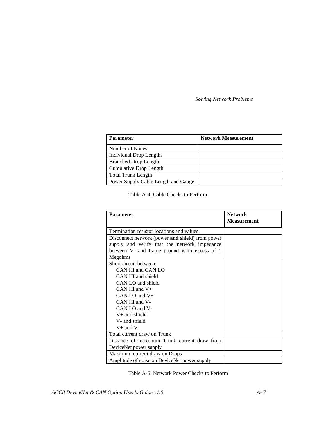| <b>Parameter</b>                    | <b>Network Measurement</b> |
|-------------------------------------|----------------------------|
| Number of Nodes                     |                            |
| Individual Drop Lengths             |                            |
| <b>Branched Drop Length</b>         |                            |
| <b>Cumulative Drop Length</b>       |                            |
| <b>Total Trunk Length</b>           |                            |
| Power Supply Cable Length and Gauge |                            |

| Table A-4: Cable Checks to Perform |  |  |
|------------------------------------|--|--|
|------------------------------------|--|--|

| <b>Parameter</b>                                 | <b>Network</b><br><b>Measurement</b> |
|--------------------------------------------------|--------------------------------------|
|                                                  |                                      |
| Termination resistor locations and values        |                                      |
| Disconnect network (power and shield) from power |                                      |
| supply and verify that the network impedance     |                                      |
| between V- and frame ground is in excess of 1    |                                      |
| Megohms                                          |                                      |
| Short circuit between:                           |                                      |
| CAN HI and CAN LO                                |                                      |
| CAN HI and shield                                |                                      |
| CAN LO and shield                                |                                      |
| CAN HI and $V+$                                  |                                      |
| $CAN LO$ and $V+$                                |                                      |
| CAN HI and V-                                    |                                      |
| CAN LO and V-                                    |                                      |
| $V+$ and shield                                  |                                      |
| V- and shield                                    |                                      |
| $V+$ and $V-$                                    |                                      |
| Total current draw on Trunk                      |                                      |
| Distance of maximum Trunk current draw from      |                                      |
| DeviceNet power supply                           |                                      |
| Maximum current draw on Drops                    |                                      |
| Amplitude of noise on DeviceNet power supply     |                                      |

Table A-5: Network Power Checks to Perform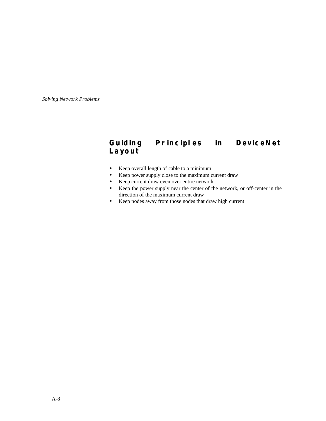## **Guiding Principles in DeviceNet Layout**

- Keep overall length of cable to a minimum
- Keep power supply close to the maximum current draw
- Keep current draw even over entire network
- Keep the power supply near the center of the network, or off-center in the direction of the maximum current draw
- Keep nodes away from those nodes that draw high current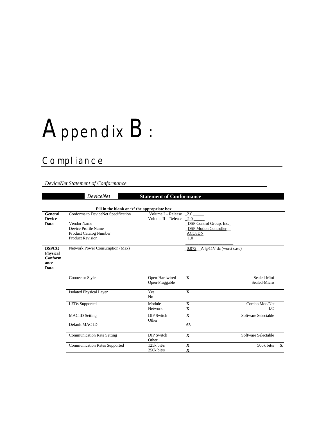# Appendix B:

## Compliance

|                                                            | <b>DeviceNet</b>                                                                | <b>Statement of Conformance</b>             |                                               |                             |
|------------------------------------------------------------|---------------------------------------------------------------------------------|---------------------------------------------|-----------------------------------------------|-----------------------------|
|                                                            | Fill in the blank or 'x' the appropriate box                                    |                                             |                                               |                             |
| General<br><b>Device</b><br>Data                           | Conforms to DeviceNet Specification<br>Vendor Name                              | Volume I - Release<br>Volume $II$ – Release | $\_2.0$<br>2.0<br>DSP Control Group, Inc.     |                             |
|                                                            | Device Profile Name<br><b>Product Catalog Number</b><br><b>Product Revision</b> |                                             | <b>DSP</b> Motion Controller<br>ACC8DN<br>1.0 |                             |
| <b>DSPCG</b><br><b>Physical</b><br>Conform<br>ance<br>Data | Network Power Consumption (Max)                                                 |                                             | $-0.072$ A @ 11V dc (worst case)              |                             |
|                                                            | Connector Style                                                                 | Open-Hardwired<br>Open-Pluggable            | $\mathbf{x}$                                  | Sealed-Mini<br>Sealed-Micro |
|                                                            | <b>Isolated Physical Layer</b>                                                  | Yes<br>N <sub>0</sub>                       | $\mathbf X$                                   |                             |
|                                                            | <b>LEDs</b> Supported                                                           | Module<br>Network                           | $\mathbf X$<br>$\mathbf{X}$                   | Combo Mod/Net<br>$\rm LO$   |
|                                                            | <b>MAC ID Setting</b>                                                           | <b>DIP</b> Switch<br>Other                  | $\mathbf{x}$                                  | Software Selectable         |
|                                                            | Default MAC ID                                                                  |                                             | 63                                            |                             |
|                                                            | <b>Communication Rate Setting</b>                                               | <b>DIP Switch</b><br>Other                  | $\mathbf{X}$                                  | Software Selectable         |
|                                                            | <b>Communication Rates Supported</b>                                            | $125k$ bit/s<br>$250k$ bit/s                | $\mathbf X$<br>$\mathbf X$                    | $\mathbf X$<br>$500k$ bit/s |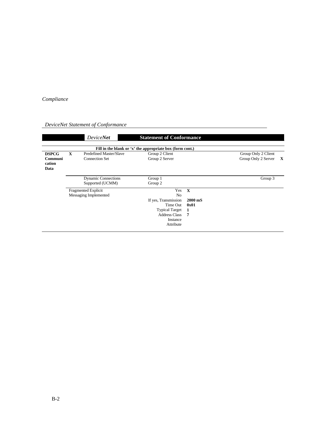|                                                           |              | <b>DeviceNet</b>                                    | <b>Statement of Conformance</b>                                                                                                     |                                 |                                                            |  |  |  |  |
|-----------------------------------------------------------|--------------|-----------------------------------------------------|-------------------------------------------------------------------------------------------------------------------------------------|---------------------------------|------------------------------------------------------------|--|--|--|--|
| Fill in the blank or 'x' the appropriate box (form cont.) |              |                                                     |                                                                                                                                     |                                 |                                                            |  |  |  |  |
| <b>DSPCG</b><br>Communi<br>cation<br>Data                 | $\mathbf{x}$ | Predefined Master/Slave<br><b>Connection Set</b>    | Group 2 Client<br>Group 2 Server                                                                                                    |                                 | Group Only 2 Client<br>Group Only 2 Server<br>$\mathbf{X}$ |  |  |  |  |
|                                                           |              | <b>Dynamic Connections</b><br>Supported (UCMM)      | Group 1<br>Group 2                                                                                                                  |                                 | Group 3                                                    |  |  |  |  |
|                                                           |              | <b>Fragmented Explicit</b><br>Messaging Implemented | Yes<br>N <sub>0</sub><br>If yes, Transmission<br>Time Out<br><b>Typical Target</b><br><b>Address Class</b><br>Instance<br>Attribute | X<br>2000 mS<br>0x01<br>-1<br>7 |                                                            |  |  |  |  |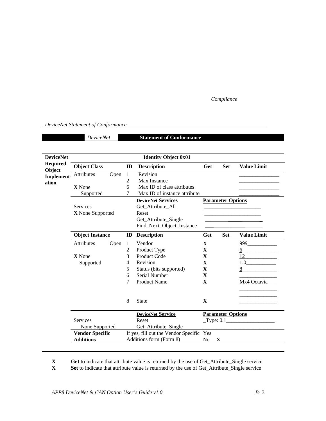*DeviceNet Statement of Conformance*

*DeviceNet* **Statement of Conformance**

| <b>DeviceNet</b>          | <b>Identity Object 0x01</b> |      |                           |                                          |                         |                          |                    |  |  |
|---------------------------|-----------------------------|------|---------------------------|------------------------------------------|-------------------------|--------------------------|--------------------|--|--|
| <b>Required</b><br>Object | <b>Object Class</b>         |      | ID                        | <b>Description</b>                       | Get                     | <b>Set</b>               | <b>Value Limit</b> |  |  |
| <b>Implement-</b>         | Attributes                  | Open | 1                         | Revision                                 |                         |                          |                    |  |  |
| ation                     |                             |      | $\overline{2}$            | Max Instance                             |                         |                          |                    |  |  |
|                           | X None                      |      | 6                         | Max ID of class attributes               |                         |                          |                    |  |  |
|                           | Supported                   |      | 7                         | Max ID of instance attributes            |                         |                          |                    |  |  |
|                           |                             |      |                           | <b>DeviceNet Services</b>                |                         | <b>Parameter Options</b> |                    |  |  |
|                           | Services                    |      |                           | Get_Attribute_All                        |                         |                          |                    |  |  |
|                           | X None Supported            |      |                           | Reset                                    |                         |                          |                    |  |  |
|                           |                             |      |                           | Get_Attribute_Single                     |                         |                          |                    |  |  |
|                           |                             |      | Find_Next_Object_Instance |                                          |                         |                          |                    |  |  |
|                           | <b>Object Instance</b>      |      | ID                        | <b>Description</b>                       | Get                     | <b>Set</b>               | <b>Value Limit</b> |  |  |
|                           | <b>Attributes</b>           | Open | 1                         | Vendor                                   | X                       |                          | 999                |  |  |
|                           |                             |      | $\overline{c}$            | Product Type                             | $\overline{\mathbf{X}}$ |                          | $\underline{6}$    |  |  |
|                           | <b>X</b> None               |      | 3                         | <b>Product Code</b>                      | $\mathbf X$             |                          | 12                 |  |  |
|                           | Supported                   |      | 4                         | Revision                                 | $\mathbf X$             |                          | 1.0                |  |  |
|                           |                             |      | 5                         | Status (bits supported)                  | $\mathbf X$             |                          | $8\,$              |  |  |
|                           |                             |      | 6                         | Serial Number                            | $\mathbf X$             |                          |                    |  |  |
|                           |                             |      | 7                         | <b>Product Name</b>                      | $\mathbf X$             |                          | Mx4 Octavia        |  |  |
|                           |                             |      |                           |                                          |                         |                          |                    |  |  |
|                           |                             |      | 8                         | <b>State</b>                             |                         |                          |                    |  |  |
|                           |                             |      |                           |                                          | $\mathbf X$             |                          |                    |  |  |
|                           |                             |      |                           | <b>DeviceNet Service</b>                 |                         | <b>Parameter Options</b> |                    |  |  |
|                           | <b>Services</b>             |      |                           | Reset                                    |                         | Type: 0.1                |                    |  |  |
|                           | None Supported              |      |                           | Get_Attribute_Single                     |                         |                          |                    |  |  |
|                           | <b>Vendor Specific</b>      |      |                           | If yes, fill out the Vendor Specific Yes |                         |                          |                    |  |  |
|                           | <b>Additions</b>            |      |                           | Additions form (Form 8)                  | N <sub>o</sub>          | $\mathbf X$              |                    |  |  |

**X Get** to indicate that attribute value is returned by the use of Get\_Attribute\_Single service **X Set** to indicate that attribute value is returned by the use of Get Attribute Single service

**X Set** to indicate that attribute value is returned by the use of Get\_Attribute\_Single service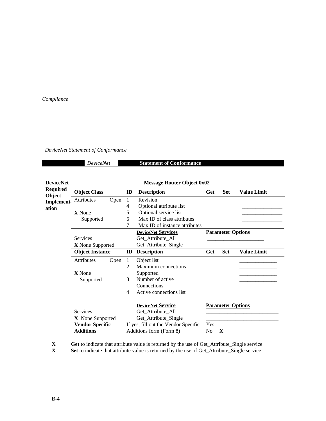*DeviceNet Statement of Conformance*

*DeviceNet* **Statement of Conformance**

| <b>DeviceNet</b>          | <b>Message Router Object 0x02</b> |    |                                      |     |                          |                    |  |
|---------------------------|-----------------------------------|----|--------------------------------------|-----|--------------------------|--------------------|--|
| <b>Required</b><br>Object | <b>Object Class</b>               | ID | <b>Description</b>                   | Get | <b>Set</b>               | <b>Value Limit</b> |  |
| <b>Implement-</b>         | Attributes<br>Open                | 1  | Revision                             |     |                          |                    |  |
| ation                     |                                   | 4  | Optional attribute list              |     |                          |                    |  |
|                           | <b>X</b> None                     | 5  | Optional service list                |     |                          |                    |  |
|                           | Supported                         | 6  | Max ID of class attributes           |     |                          |                    |  |
|                           |                                   | 7  | Max ID of instance attributes        |     |                          |                    |  |
|                           |                                   |    | <b>DeviceNet Services</b>            |     | <b>Parameter Options</b> |                    |  |
|                           | <b>Services</b>                   |    | Get Attribute All                    |     |                          |                    |  |
|                           | X None Supported                  |    | Get_Attribute_Single                 |     |                          |                    |  |
|                           | <b>Object Instance</b>            | ID | <b>Description</b>                   | Get | <b>Set</b>               | <b>Value Limit</b> |  |
|                           | Attributes<br>Open                | 1  | Object list                          |     |                          |                    |  |
|                           |                                   | 2  | Maximum connections                  |     |                          |                    |  |
|                           | <b>X</b> None                     |    | Supported                            |     |                          |                    |  |
|                           | Supported                         | 3  | Number of active                     |     |                          |                    |  |
|                           |                                   |    | Connections                          |     |                          |                    |  |
|                           |                                   | 4  | Active connections list              |     |                          |                    |  |
|                           |                                   |    | <b>DeviceNet Service</b>             |     | <b>Parameter Options</b> |                    |  |
|                           | <b>Services</b>                   |    | Get_Attribute_All                    |     |                          |                    |  |
|                           | <b>X</b> None Supported           |    | Get_Attribute_Single                 |     |                          |                    |  |
|                           | <b>Vendor Specific</b>            |    | If yes, fill out the Vendor Specific | Yes |                          |                    |  |
|                           | <b>Additions</b>                  |    | Additions form (Form 8)              | No  | X                        |                    |  |

**X Get** to indicate that attribute value is returned by the use of Get\_Attribute\_Single service **X Set** to indicate that attribute value is returned by the use of Get\_Attribute\_Single service

Set to indicate that attribute value is returned by the use of Get\_Attribute\_Single service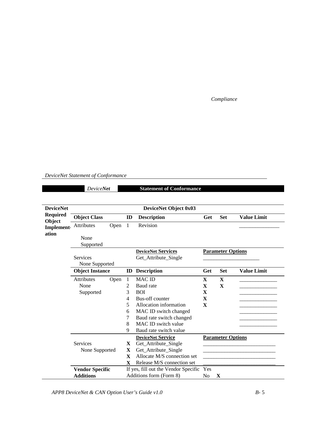#### *DeviceNet Statement of Conformance*

| <b>DeviceNet</b>          | DeviceNet Object 0x03  |      |              |                                      |                |                          |                    |  |
|---------------------------|------------------------|------|--------------|--------------------------------------|----------------|--------------------------|--------------------|--|
| <b>Required</b><br>Object | <b>Object Class</b>    |      | ID           | <b>Description</b>                   | Get            | <b>Set</b>               | <b>Value Limit</b> |  |
| <b>Implement-</b>         | Attributes             | Open | 1            | Revision                             |                |                          |                    |  |
| ation                     | None                   |      |              |                                      |                |                          |                    |  |
|                           | Supported              |      |              |                                      |                |                          |                    |  |
|                           |                        |      |              | <b>DeviceNet Services</b>            |                | <b>Parameter Options</b> |                    |  |
|                           | Services               |      |              | Get_Attribute_Single                 |                |                          |                    |  |
|                           | None Supported         |      |              |                                      |                |                          |                    |  |
|                           | <b>Object Instance</b> |      | ID           | <b>Description</b>                   | Get            | <b>Set</b>               | <b>Value Limit</b> |  |
|                           | <b>Attributes</b>      | Open | $\mathbf{1}$ | <b>MAC ID</b>                        | $\mathbf{X}$   | $\mathbf X$              |                    |  |
|                           | None                   |      | 2            | Baud rate                            | X              | $\mathbf X$              |                    |  |
|                           | Supported              |      | 3            | <b>BOI</b>                           | $\mathbf{X}$   |                          |                    |  |
|                           |                        |      | 4            | Bus-off counter                      | $\mathbf{X}$   |                          |                    |  |
|                           |                        |      | 5            | Allocation information               | $\mathbf{X}$   |                          |                    |  |
|                           |                        |      | 6            | MAC ID switch changed                |                |                          |                    |  |
|                           |                        |      | 7            | Baud rate switch changed             |                |                          |                    |  |
|                           |                        |      | 8            | MAC ID switch value                  |                |                          |                    |  |
|                           |                        |      | 9            | Baud rate switch value               |                |                          |                    |  |
|                           |                        |      |              | <b>DeviceNet Service</b>             |                | <b>Parameter Options</b> |                    |  |
|                           | Services               |      | X            | Get_Attribute_Single                 |                |                          |                    |  |
|                           | None Supported         |      | X            | Get_Attribute_Single                 |                |                          |                    |  |
|                           |                        |      | X            | Allocate M/S connection set          |                |                          |                    |  |
|                           |                        |      | $\mathbf X$  | Release M/S connection set           |                |                          |                    |  |
|                           | <b>Vendor Specific</b> |      |              | If yes, fill out the Vendor Specific | Yes            |                          |                    |  |
|                           | <b>Additions</b>       |      |              | Additions form (Form 8)              | N <sub>0</sub> | $\mathbf X$              |                    |  |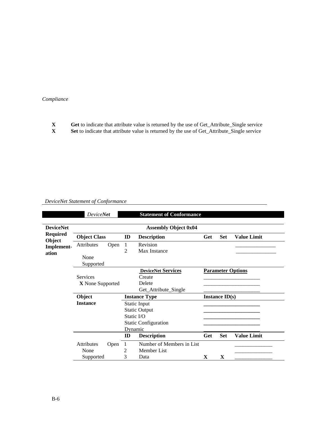- **X Get** to indicate that attribute value is returned by the use of Get\_Attribute\_Single service **X Set** to indicate that attribute value is returned by the use of Get\_Attribute\_Single service
	- **X Set** to indicate that attribute value is returned by the use of Get\_Attribute\_Single service

|                                      | <b>DeviceNet</b>                  |                   | <b>Statement of Conformance</b>                                                                     |              |                  |                          |
|--------------------------------------|-----------------------------------|-------------------|-----------------------------------------------------------------------------------------------------|--------------|------------------|--------------------------|
| <b>DeviceNet</b>                     |                                   |                   | <b>Assembly Object 0x04</b>                                                                         |              |                  |                          |
| <b>Required</b>                      | <b>Object Class</b>               | ID                | <b>Description</b>                                                                                  | Get          | <b>Set</b>       | <b>Value Limit</b>       |
| Object<br><b>Implement-</b><br>ation | <b>Attributes</b><br>Open         | 2                 | Revision<br>Max Instance                                                                            |              |                  |                          |
|                                      | None<br>Supported                 |                   |                                                                                                     |              |                  |                          |
|                                      | <b>Services</b>                   |                   | <b>DeviceNet Services</b><br>Create                                                                 |              |                  | <b>Parameter Options</b> |
|                                      | X None Supported                  |                   | Delete<br>Get_Attribute_Single                                                                      |              |                  |                          |
|                                      | Object                            |                   | <b>Instance Type</b>                                                                                |              | Instance $ID(s)$ |                          |
|                                      | <b>Instance</b>                   |                   | <b>Static Input</b><br><b>Static Output</b><br>Static I/O<br><b>Static Configuration</b><br>Dynamic |              |                  |                          |
|                                      |                                   | ID                | <b>Description</b>                                                                                  | Get          | <b>Set</b>       | <b>Value Limit</b>       |
|                                      | <b>Attributes</b><br>Open<br>None | $\mathbf{1}$<br>2 | Number of Members in List<br>Member List                                                            |              |                  |                          |
|                                      | Supported                         | 3                 | Data                                                                                                | $\mathbf{X}$ | $\mathbf X$      |                          |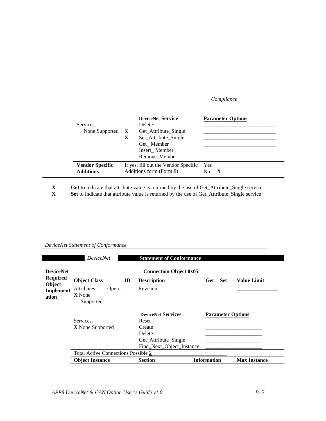| <b>Services</b><br>None Supported          | <b>DeviceNet Service</b><br>Delete<br>Get_Attribute_Single<br>$\mathbf{X}$<br>Set_Attribute_Single<br>X<br>Get Member<br>Insert Member<br>Remove Member | <b>Parameter Options</b>   |
|--------------------------------------------|---------------------------------------------------------------------------------------------------------------------------------------------------------|----------------------------|
| <b>Vendor Specific</b><br><b>Additions</b> | If yes, fill out the Vendor Specific<br>Additions form (Form 8)                                                                                         | Yes<br>X<br>N <sub>0</sub> |

**X Get** to indicate that attribute value is returned by the use of Get\_Attribute\_Single service

**X Set** to indicate that attribute value is returned by the use of Get\_Attribute\_Single service

|                           | <b>DeviceNet</b>                                 |    | <b>Statement of Conformance</b>                                                                             |                    |                          |                     |
|---------------------------|--------------------------------------------------|----|-------------------------------------------------------------------------------------------------------------|--------------------|--------------------------|---------------------|
| <b>DeviceNet</b>          |                                                  |    | <b>Connection Object 0x05</b>                                                                               |                    |                          |                     |
| <b>Required</b><br>Object | <b>Object Class</b>                              | ID | <b>Description</b>                                                                                          | Get                | <b>Set</b>               | <b>Value Limit</b>  |
| Implement<br>ation        | Attributes<br>Open<br><b>X</b> None<br>Supported |    | Revision                                                                                                    |                    |                          |                     |
|                           | <b>Services</b><br><b>X</b> None Supported       |    | <b>DeviceNet Services</b><br>Reset<br>Create<br>Delete<br>Get_Attribute_Single<br>Find_Next_Object_Instance |                    | <b>Parameter Options</b> |                     |
|                           | <b>Total Active Connections Possible 2</b>       |    |                                                                                                             |                    |                          |                     |
|                           | <b>Object Instance</b>                           |    | <b>Section</b>                                                                                              | <b>Information</b> |                          | <b>Max Instance</b> |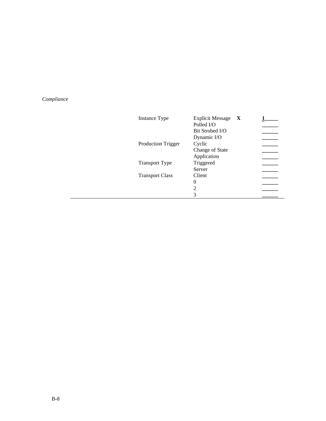| <b>Instance Type</b>   | <b>Explicit Message</b> | X |  |
|------------------------|-------------------------|---|--|
|                        | Polled I/O              |   |  |
|                        | Bit Strobed I/O         |   |  |
|                        | Dynamic I/O             |   |  |
| Production Trigger     | Cyclic                  |   |  |
|                        |                         |   |  |
|                        | Change of State         |   |  |
|                        | Application             |   |  |
| <b>Transport Type</b>  | Triggered               |   |  |
|                        | Server                  |   |  |
|                        | Client                  |   |  |
| <b>Transport Class</b> |                         |   |  |
|                        | 0                       |   |  |
|                        | 2                       |   |  |
|                        | 3                       |   |  |
|                        |                         |   |  |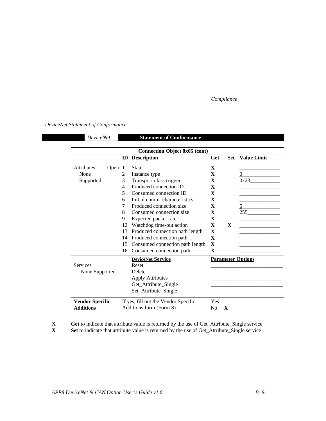#### *DeviceNet Statement of Conformance*

|                        |        |    | <b>Connection Object 0x05 (cont)</b> |                |              |                          |
|------------------------|--------|----|--------------------------------------|----------------|--------------|--------------------------|
|                        |        | ID | <b>Description</b>                   | Get            | <b>Set</b>   | <b>Value Limit</b>       |
| <b>Attributes</b>      | Open 1 |    | <b>State</b>                         | $\mathbf{X}$   |              |                          |
| None                   |        | 2  | Instance type                        | $\mathbf{X}$   |              | 0                        |
| Supported              |        | 3  | Transport class trigger              | $\mathbf{X}$   |              | 0x23                     |
|                        |        | 4  | Produced connection ID               | $\mathbf{X}$   |              |                          |
|                        |        | 5  | Consumed connection ID               | $\mathbf x$    |              |                          |
|                        |        | 6  | Initial comm. characteristics        | $\mathbf{x}$   |              |                          |
|                        |        | 7  | Produced connection size             | $\mathbf x$    |              | 5                        |
|                        |        | 8  | Consumed connection size             | $\mathbf{X}$   |              | 255                      |
|                        |        | 9  | Expected packet rate                 | $\mathbf{X}$   |              |                          |
|                        |        | 12 | Watchdog time-out action             | X              | $\mathbf{X}$ |                          |
|                        |        | 13 | Produced connection path length      | $\mathbf{X}$   |              |                          |
|                        |        | 14 | Produced connection path             | $\mathbf{X}$   |              |                          |
|                        |        | 15 | Consumed connection path length      | X              |              |                          |
|                        |        | 16 | Consumed connection path             | $\mathbf{X}$   |              |                          |
|                        |        |    | <b>DeviceNet Service</b>             |                |              | <b>Parameter Options</b> |
| <b>Services</b>        |        |    | Reset                                |                |              |                          |
| None Supported         |        |    | Delete                               |                |              |                          |
|                        |        |    | <b>Apply Attributes</b>              |                |              |                          |
|                        |        |    | Get_Attribute_Single                 |                |              |                          |
|                        |        |    | Set_Attribute_Single                 |                |              |                          |
| <b>Vendor Specific</b> |        |    | If yes, fill out the Vendor Specific | Yes            |              |                          |
| <b>Additions</b>       |        |    | Additions form (Form 8)              | N <sub>0</sub> | $\mathbf X$  |                          |

**X Get** to indicate that attribute value is returned by the use of Get\_Attribute\_Single service

**X Set** to indicate that attribute value is returned by the use of Get\_Attribute\_Single service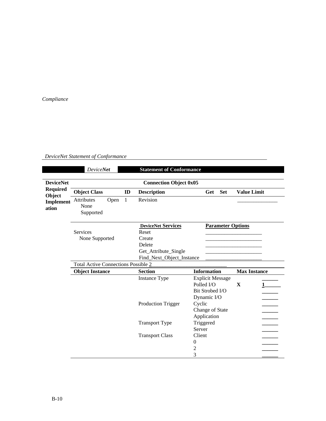|                           | <b>DeviceNet</b>                        |               | <b>Statement of Conformance</b>                             |                                                                         |                     |  |  |  |  |
|---------------------------|-----------------------------------------|---------------|-------------------------------------------------------------|-------------------------------------------------------------------------|---------------------|--|--|--|--|
| <b>DeviceNet</b>          |                                         |               | <b>Connection Object 0x05</b>                               |                                                                         |                     |  |  |  |  |
| <b>Required</b><br>Object | <b>Object Class</b>                     | $\mathbf{ID}$ | <b>Description</b>                                          | <b>Set</b><br>Get                                                       | <b>Value Limit</b>  |  |  |  |  |
| Implement<br>ation        | Attributes<br>Open<br>None<br>Supported | 1             | Revision                                                    |                                                                         |                     |  |  |  |  |
|                           | Services<br>None Supported              |               | <b>DeviceNet Services</b><br>Reset<br>Create                | <b>Parameter Options</b>                                                |                     |  |  |  |  |
|                           |                                         |               | Delete<br>Get_Attribute_Single<br>Find_Next_Object_Instance |                                                                         |                     |  |  |  |  |
|                           | Total Active Connections Possible 2     |               |                                                             |                                                                         |                     |  |  |  |  |
|                           | <b>Object Instance</b>                  |               | <b>Section</b>                                              | <b>Information</b>                                                      | <b>Max Instance</b> |  |  |  |  |
|                           |                                         |               | Instance Type                                               | <b>Explicit Message</b><br>Polled I/O<br>Bit Strobed I/O<br>Dynamic I/O | $\mathbf X$         |  |  |  |  |
|                           |                                         |               | Production Trigger                                          | Cyclic<br>Change of State<br>Application                                |                     |  |  |  |  |
|                           |                                         |               | <b>Transport Type</b>                                       | Triggered<br>Server                                                     |                     |  |  |  |  |
|                           |                                         |               | <b>Transport Class</b>                                      | Client<br>$\mathbf{0}$<br>$\overline{c}$<br>3                           |                     |  |  |  |  |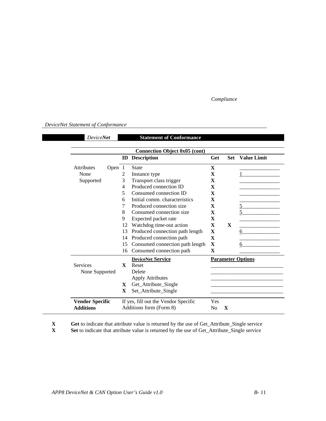#### *DeviceNet Statement of Conformance*

|                        |              | <b>Connection Object 0x05 (cont)</b> |              |            |                          |
|------------------------|--------------|--------------------------------------|--------------|------------|--------------------------|
|                        | ID           | <b>Description</b>                   | Get          | <b>Set</b> | <b>Value Limit</b>       |
| <b>Attributes</b>      | Open 1       | <b>State</b>                         | $\mathbf X$  |            |                          |
| None                   | 2            | Instance type                        | $\mathbf X$  |            |                          |
| Supported              | 3            | Transport class trigger              | $\mathbf X$  |            |                          |
|                        | 4            | Produced connection ID               | $\mathbf{X}$ |            |                          |
|                        | 5            | Consumed connection ID               | $\mathbf{X}$ |            |                          |
|                        | 6            | Initial comm. characteristics        | $\mathbf{X}$ |            |                          |
|                        | 7            | Produced connection size             | $\mathbf{X}$ |            | 5                        |
|                        | 8            | Consumed connection size             | $\mathbf{x}$ |            |                          |
|                        | 9            | Expected packet rate                 | $\mathbf X$  |            |                          |
|                        | 12           | Watchdog time-out action             | $\mathbf X$  | X          |                          |
|                        | 13           | Produced connection path length      | $\mathbf X$  |            | 6                        |
|                        | 14           | Produced connection path             | $\mathbf X$  |            |                          |
|                        | 15           | Consumed connection path length      | $\mathbf X$  |            | 6                        |
|                        | 16           | Consumed connection path             | $\mathbf X$  |            |                          |
|                        |              | DeviceNet Service                    |              |            | <b>Parameter Options</b> |
| <b>Services</b>        | $\mathbf{X}$ | Reset                                |              |            |                          |
| None Supported         |              | Delete                               |              |            |                          |
|                        |              | <b>Apply Attributes</b>              |              |            |                          |
|                        | X            | Get_Attribute_Single                 |              |            |                          |
|                        | X            | Set_Attribute_Single                 |              |            |                          |
| <b>Vendor Specific</b> |              | If yes, fill out the Vendor Specific | Yes          |            |                          |
| <b>Additions</b>       |              | Additions form (Form 8)              | No           | X          |                          |

**X Get** to indicate that attribute value is returned by the use of Get\_Attribute\_Single service

**X Set** to indicate that attribute value is returned by the use of Get\_Attribute\_Single service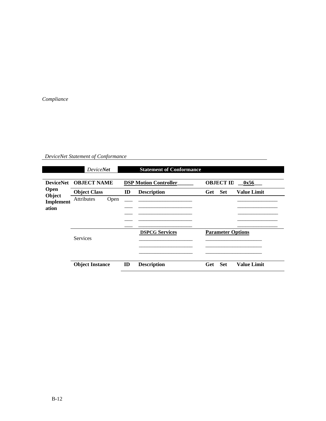|                                     | <b>DeviceNet</b>       |    | <b>Statement of Conformance</b> |     |                          |                    |
|-------------------------------------|------------------------|----|---------------------------------|-----|--------------------------|--------------------|
|                                     | DeviceNet OBJECT NAME  |    | <b>DSP Motion Controller</b>    |     | <b>OBJECT ID</b>         | 0x56               |
| <b>Open</b>                         | <b>Object Class</b>    | ID | <b>Description</b>              | Get | <b>Set</b>               | <b>Value Limit</b> |
| Object<br><b>Implement</b><br>ation | Attributes<br>Open     |    |                                 |     |                          |                    |
|                                     | <b>Services</b>        |    | <b>DSPCG Services</b>           |     | <b>Parameter Options</b> |                    |
|                                     | <b>Object Instance</b> | ID | <b>Description</b>              | Get | <b>Set</b>               | <b>Value Limit</b> |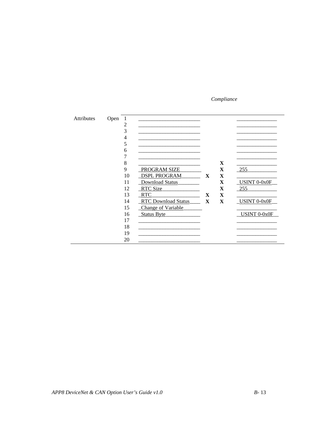| Attributes | Open |    |                            |             |             |                     |
|------------|------|----|----------------------------|-------------|-------------|---------------------|
|            |      | 2  |                            |             |             |                     |
|            |      | 3  |                            |             |             |                     |
|            |      | 4  |                            |             |             |                     |
|            |      | 5  |                            |             |             |                     |
|            |      | 6  |                            |             |             |                     |
|            |      |    |                            |             |             |                     |
|            |      | 8  |                            |             | $\mathbf X$ |                     |
|            |      | 9  | PROGRAM SIZE               |             | X           | $-255$              |
|            |      | 10 | <b>DSPL PROGRAM</b>        | $\mathbf X$ | X           |                     |
|            |      | 11 | Download Status            |             | X           | USINT 0-0x0F        |
|            |      | 12 | RTC Size                   |             | $\mathbf X$ | $-255$              |
|            |      | 13 | <b>RTC</b>                 | X           | X           |                     |
|            |      | 14 | <b>RTC Download Status</b> | $\mathbf X$ | $\mathbf X$ | <b>USINT 0-0x0F</b> |
|            |      | 15 | Change of Variable         |             |             |                     |
|            |      | 16 | Status Byte                |             |             | <b>USINT 0-0x0F</b> |
|            |      | 17 |                            |             |             |                     |
|            |      | 18 |                            |             |             |                     |
|            |      | 19 |                            |             |             |                     |
|            |      | 20 |                            |             |             |                     |
|            |      |    |                            |             |             |                     |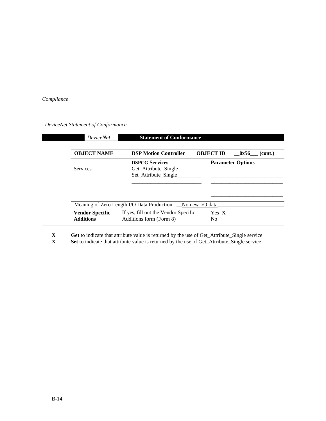*DeviceNet Statement of Conformance*

| <b>DSPCG Services</b><br><b>Parameter Options</b><br>Get_Attribute_Single_<br>Set Attribute Single | <b>OBJECT NAME</b> | <b>DSP Motion Controller</b> | <b>OBJECT ID</b> | 0x56<br>(cont.) |
|----------------------------------------------------------------------------------------------------|--------------------|------------------------------|------------------|-----------------|
|                                                                                                    | <b>Services</b>    |                              |                  |                 |
| Meaning of Zero Length I/O Data Production<br>No new I/O data                                      |                    |                              |                  |                 |

**X Get** to indicate that attribute value is returned by the use of Get\_Attribute\_Single service

**X Set** to indicate that attribute value is returned by the use of Get\_Attribute\_Single service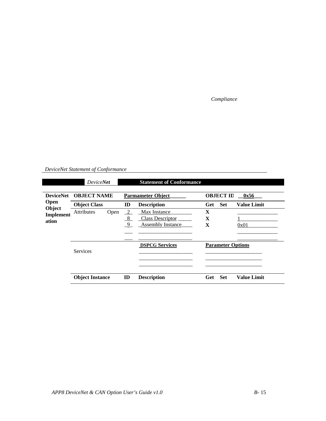|                     | <b>DeviceNet</b>       |                 | <b>Statement of Conformance</b> |             |                          |                    |
|---------------------|------------------------|-----------------|---------------------------------|-------------|--------------------------|--------------------|
| <b>DeviceNet</b>    | <b>OBJECT NAME</b>     |                 | <b>Parmameter Object</b>        |             | <b>OBJECT ID</b>         | 0x56               |
| <b>Open</b>         | <b>Object Class</b>    | $\mathbf{D}$    | <b>Description</b>              | Get         | <b>Set</b>               | <b>Value Limit</b> |
| Object<br>Implement | Attributes<br>Open     | $\frac{2}{2}$   | Max Instance                    | $\mathbf X$ |                          |                    |
| ation               |                        | $\underline{8}$ | <b>Class Descriptor</b>         | $\mathbf X$ |                          |                    |
|                     |                        | $-9$            | <b>Assembly Instance</b>        | $\mathbf X$ |                          | 0x01               |
|                     |                        |                 |                                 |             |                          |                    |
|                     | <b>Services</b>        |                 | <b>DSPCG Services</b>           |             | <b>Parameter Options</b> |                    |
|                     |                        |                 |                                 |             |                          |                    |
|                     |                        |                 |                                 |             |                          |                    |
|                     | <b>Object Instance</b> | ID              | <b>Description</b>              | Get         | <b>Set</b>               | <b>Value Limit</b> |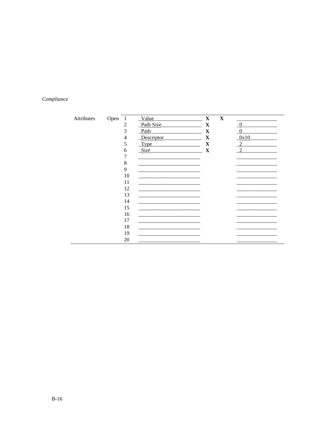| Attributes | Open | $\overline{1}$ | Value             | $\mathbf X$ | $\mathbf X$ |                |
|------------|------|----------------|-------------------|-------------|-------------|----------------|
|            |      | $\overline{2}$ | Path Size         | $\mathbf X$ |             | $\Omega$       |
|            |      | 3              | Path              | $\mathbf X$ |             | $\theta$       |
|            |      | 4              | <b>Descriptor</b> | $\mathbf X$ |             | 0x10           |
|            |      | 5              | Type              | $\mathbf X$ |             | $\overline{2}$ |
|            |      | 6              | Size              | $\mathbf X$ |             | 2              |
|            |      | 7              |                   |             |             |                |
|            |      | 8              |                   |             |             |                |
|            |      | 9              |                   |             |             |                |
|            |      | 10             |                   |             |             |                |
|            |      | 11             |                   |             |             |                |
|            |      | 12             |                   |             |             |                |
|            |      | 13             |                   |             |             |                |
|            |      | 14             |                   |             |             |                |
|            |      | 15             |                   |             |             |                |
|            |      | 16             |                   |             |             |                |
|            |      | 17             |                   |             |             |                |
|            |      | 18             |                   |             |             |                |
|            |      | 19             |                   |             |             |                |
|            |      | 20             |                   |             |             |                |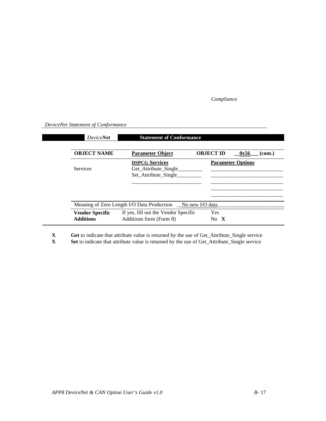*DeviceNet Statement of Conformance*

| <b>DeviceNet</b>       | <b>Statement of Conformance</b>                                                                     |                          |                 |  |
|------------------------|-----------------------------------------------------------------------------------------------------|--------------------------|-----------------|--|
| <b>OBJECT NAME</b>     | <b>Parameter Object</b>                                                                             | <b>OBJECT ID</b>         | 0x56<br>(cont.) |  |
| <b>Services</b>        | <b>DSPCG Services</b><br>Get_Attribute_Single_<br>Set_Attribute_Single_                             | <b>Parameter Options</b> |                 |  |
| <b>Vendor Specific</b> | Meaning of Zero Length I/O Data Production _No new I/O data<br>If yes, fill out the Vendor Specific | Yes                      |                 |  |
| <b>Additions</b>       | Additions form (Form 8)                                                                             | No $\mathbf{X}$          |                 |  |

**X Get** to indicate that attribute value is returned by the use of Get\_Attribute\_Single service

**X Set** to indicate that attribute value is returned by the use of Get\_Attribute\_Single service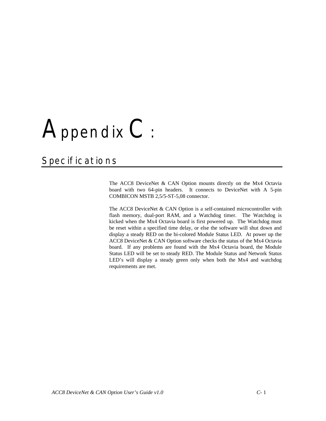# Appendix C:

## Specifications

The ACC8 DeviceNet & CAN Option mounts directly on the Mx4 Octavia board with two 64-pin headers. It connects to DeviceNet with A 5-pin COMBICON MSTB 2,5/5-ST-5,08 connector.

The ACC8 DeviceNet & CAN Option is a self-contained microcontroller with flash memory, dual-port RAM, and a Watchdog timer. The Watchdog is kicked when the Mx4 Octavia board is first powered up. The Watchdog must be reset within a specified time delay, or else the software will shut down and display a steady RED on the bi-colored Module Status LED. At power up the ACC8 DeviceNet & CAN Option software checks the status of the Mx4 Octavia board. If any problems are found with the Mx4 Octavia board, the Module Status LED will be set to steady RED. The Module Status and Network Status LED's will display a steady green only when both the Mx4 and watchdog requirements are met.